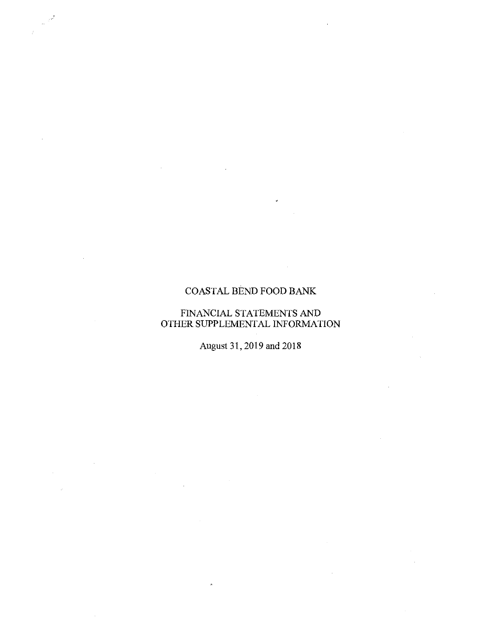# COASTAL BEND FOOD BANK

# FINANCIAL STATEMENTS AND OTHER SUPPLEMENTAL INFORMATION

August 31, 2019 and 2018

 $\ddot{\phantom{a}}$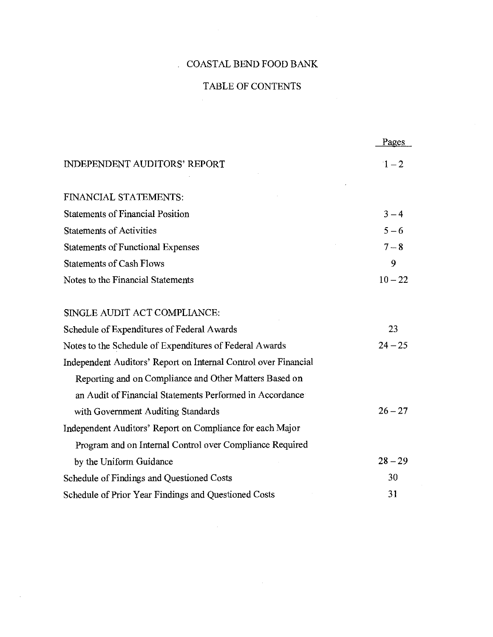# $\hfill$  COASTAL BEND FOOD BANK

# TABLE OF CONTENTS

|                                                                 | Pages     |
|-----------------------------------------------------------------|-----------|
| <b>INDEPENDENT AUDITORS' REPORT</b>                             | $1 - 2$   |
| FINANCIAL STATEMENTS:                                           |           |
| <b>Statements of Financial Position</b>                         | $3 - 4$   |
| <b>Statements of Activities</b>                                 | $5 - 6$   |
| <b>Statements of Functional Expenses</b>                        | $7 - 8$   |
| <b>Statements of Cash Flows</b>                                 | 9         |
| Notes to the Financial Statements                               | $10 - 22$ |
| SINGLE AUDIT ACT COMPLIANCE:                                    |           |
| Schedule of Expenditures of Federal Awards                      | 23        |
| Notes to the Schedule of Expenditures of Federal Awards         | $24 - 25$ |
| Independent Auditors' Report on Internal Control over Financial |           |
| Reporting and on Compliance and Other Matters Based on          |           |
| an Audit of Financial Statements Performed in Accordance        |           |
| with Government Auditing Standards                              | $26 - 27$ |
| Independent Auditors' Report on Compliance for each Major       |           |
| Program and on Internal Control over Compliance Required        |           |
| by the Uniform Guidance                                         | $28 - 29$ |
| Schedule of Findings and Questioned Costs                       | 30        |
| Schedule of Prior Year Findings and Questioned Costs            | 31        |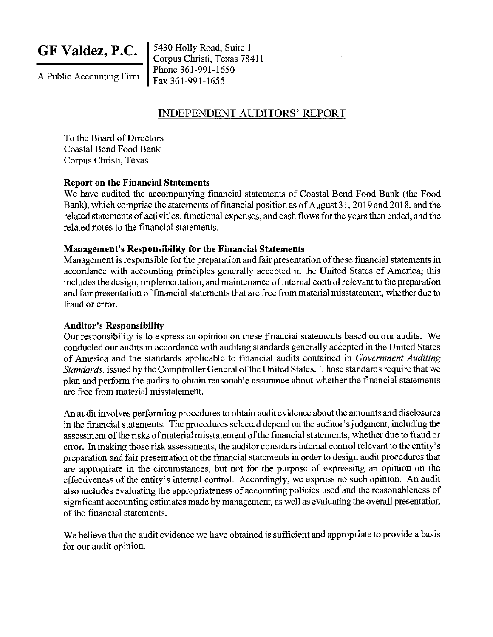GF Valdez, P.C.

A Public Accounting Firm

5430 Holly Road, Suite 1 Corpus Christi, Texas 78411 Phone 361-991-1650 Fax *361-991-1655* 

# INDEPENDENT AUDITORS' REPORT

To the Board of Directors Coastal Bend Food Bank Corpus Christi, Texas

# **Report on the Financial Statements**

We have audited the accompanying financial statements of Coastal Bend Food Bank (the Food Bank), which comprise the statements of financial position as of August 31,2019 and 2018, and the related statements of activities, functional expenses, and cash flows for the years then ended, and the related notes to the financial statements.

# **Management's Responsibility for the Financial Statements**

Management is responsible for the preparation and fair presentation of these financial statements in accordance with accounting principles generally accepted in the United States of America; this includes the design, implementation, and maintenance of internal control relevant to the preparation and fair presentation of financial statements that are free from material misstatement, whether due to fraud or error.

# **Auditor's Responsibility**

Our responsibility is to express an opinion on these financial statements based on our audits. We conducted our audits in accordance with auditing standards generally accepted in the United States of America and the standards applicable to financial audits contained in *Government Auditing Standards,* issued by the Comptroller General of the United States. Those standards require that we plan and perform the audits to obtain reasonable assurance about whether the financial statements are free from material misstatement.

An audit involves performing procedures to obtain audit evidence about the amounts and disclosures in the financial statements. The procedures selected depend on the auditor's judgment, including the assessment of the risks of material misstatement of the financial statements, whether due to fraud or error. In making those risk assessments, the auditor considers internal control relevant to the entity's preparation and fair presentation of the financial statements in order to design audit procedures that are appropriate in the circumstances, but not for the purpose of expressing an opinion on the effectiveness of the entity's internal control. Accordingly, we express no such opinion. An audit also includes evaluating the appropriateness of accounting policies used and the reasonableness of significant accounting estimates made by management, as well as evaluating the overall presentation of the financial statements.

We believe that the audit evidence we have obtained is sufficient and appropriate to provide a basis for our audit opinion.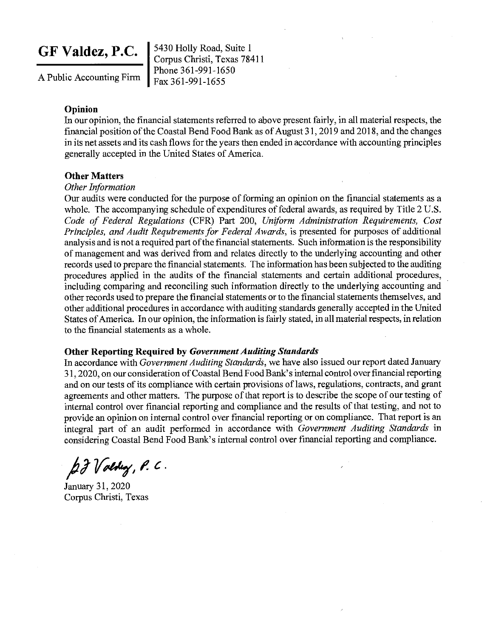# GF Valdez, P.C.

A Public Accounting Finn

5430 Holly Road, Suite 1 Corpus Christi, Texas 78411 Phone 361-991-1650 Fax 361-991-1655

#### **Opinion**

In our opinion, the financial statements referred to above present fairly, in all material respects, the financial position of the Coastal Bend Food Bank as of August 31, 2019 and 2018, and the changes in its net assets and its cash flows for the years then ended in accordance with accounting principles generally accepted in the United States of America.

#### **Other Matters**

#### *Other Information*

Our audits were conducted for the purpose of forming an opinion on the financial statements as a whole. The accompanying schedule of expenditures of federal awards, as required by Title 2 U.S. *Code of Federal Regulations* (CFR) Part 200, *Uniform Administration Requirements, Cost Principles, and Audit Requirements for Federal Awards, is* presented for purposes of additional analysis and is not a required part of the financial statements. Such information is the responsibility of management and was derived from and relates directly to the underlying accounting and other records used to prepare the financial statements. The information has been subjected to the auditing procedures applied in the audits of the financial statements and certain additional procedures, including comparing and reconciling such information directly to the underlying accounting and other records used to prepare the financial statements or to the financial statements themselves, and other additional procedures in accordance with auditing standards generally accepted in the United States of America. In our opinion, the information is fairly stated, in all material respects, in relation to the financial statements as a whole.

#### **Other Reporting Required by** *Government Auditing Standards*

In accordance with *Government Auditing Standards,* we have also issued our report dated January 31, 2020, on our consideration of Coastal Bend Food Bank's internal control over financial reporting and on our tests of its compliance with certain provisions of laws, regulations, contracts, and grant agreements and other matters. The purpose of that report is to describe the scope of our testing of internal control over financial reporting and compliance and the results of that testing, and not to provide an opinion on internal control over financial reporting or on compliance. That report is an integral part of an audit performed in accordance with *Government Auditing Standards* in considering Coastal Bend Food Bank's internal control over financial reporting and compliance.

 $\beta\mathcal{J}$  Valduy, P. C.

January 31, 2020 Corpus Christi, Texas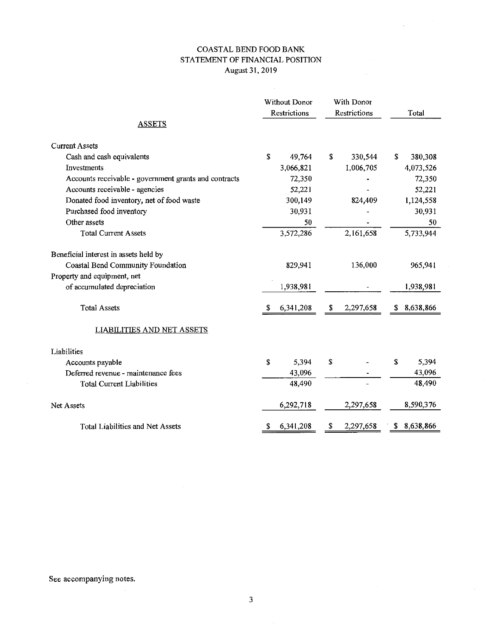# COASTAL BEND FOOD BANK STATEMENT OF FINANCIAL POSITION August 31, 2019

 $\hat{\mathcal{L}}$ 

 $\sim$  $\sim$ 

| <b>ASSETS</b>                                         |    | <b>Without Donor</b><br>Restrictions | With Donor<br>Restrictions |    | Total       |
|-------------------------------------------------------|----|--------------------------------------|----------------------------|----|-------------|
| <b>Current Assets</b>                                 |    |                                      |                            |    |             |
| Cash and cash equivalents                             | \$ | 49,764                               | \$<br>330,544              | \$ | 380,308     |
| Investments                                           |    | 3,066,821                            | 1,006,705                  |    | 4,073,526   |
| Accounts receivable - government grants and contracts |    | 72,350                               |                            |    | 72,350      |
| Accounts receivable - agencies                        |    | 52,221                               |                            |    | 52,221      |
| Donated food inventory, net of food waste             |    | 300,149                              | 824,409                    |    | 1,124,558   |
| Purchased food inventory                              |    | 30,931                               |                            |    | 30,931      |
| Other assets                                          |    | 50                                   |                            |    | 50          |
| <b>Total Current Assets</b>                           |    | 3,572,286                            | 2,161,658                  |    | 5,733,944   |
| Beneficial interest in assets held by                 |    |                                      |                            |    |             |
| Coastal Bend Community Foundation                     |    | 829,941                              | 136,000                    |    | 965,941     |
| Property and equipment, net                           |    |                                      |                            |    |             |
| of accumulated depreciation                           |    | 1,938,981                            |                            |    | 1,938,981   |
| <b>Total Assets</b>                                   |    | 6,341,208                            | \$<br>2,297,658            | \$ | 8,638,866   |
| LIABILITIES AND NET ASSETS                            |    |                                      |                            |    |             |
| Liabilities                                           |    |                                      |                            |    |             |
| Accounts payable                                      | \$ | 5,394                                | \$                         | \$ | 5,394       |
| Deferred revenue - maintenance fees                   |    | 43,096                               |                            |    | 43,096      |
| <b>Total Current Liabilities</b>                      |    | 48,490                               |                            |    | 48,490      |
| Net Assets                                            |    | 6,292,718                            | 2,297,658                  |    | 8,590,376   |
| <b>Total Liabilities and Net Assets</b>               | S  | 6,341,208                            | \$<br>2,297,658            |    | \$8,638,866 |

See accompanying notes.

 $\sim$ 

 $\sim$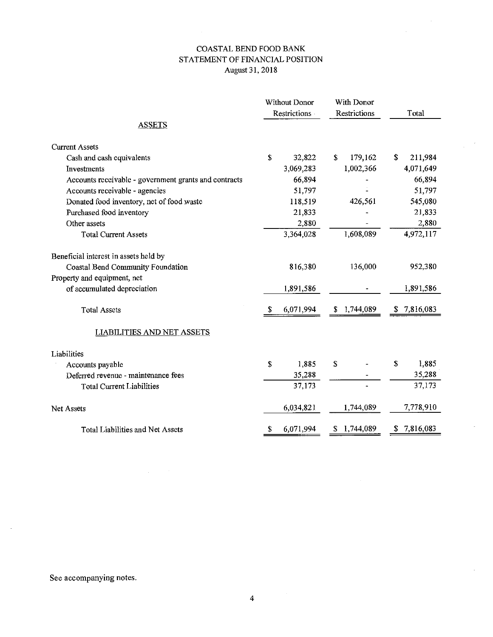# COASTAL BEND FOOD BANK STATEMENT OF FINANCIAL POSITION August31, 2018

 $\sim$  $\hat{\mathcal{A}}$ 

|                                                       | <b>Without Donor</b> |                     | With Donor |              |    |             |
|-------------------------------------------------------|----------------------|---------------------|------------|--------------|----|-------------|
|                                                       |                      | <b>Restrictions</b> |            | Restrictions |    | Total       |
| <b>ASSETS</b>                                         |                      |                     |            |              |    |             |
| <b>Current Assets</b>                                 |                      |                     |            |              |    |             |
| Cash and cash equivalents                             | \$                   | 32,822              | \$         | 179,162      | S. | 211,984     |
| Investments                                           |                      | 3,069,283           |            | 1,002,366    |    | 4,071,649   |
| Accounts receivable - government grants and contracts |                      | 66,894              |            |              |    | 66,894      |
| Accounts receivable - agencies                        |                      | 51,797              |            |              |    | 51,797      |
| Donated food inventory, net of food waste             |                      | 118,519             |            | 426,561      |    | 545,080     |
| Purchased food inventory                              |                      | 21,833              |            |              |    | 21,833      |
| Other assets                                          |                      | 2,880               |            |              |    | 2,880       |
| <b>Total Current Assets</b>                           |                      | 3,364,028           |            | 1,608,089    |    | 4,972,117   |
| Beneficial interest in assets held by                 |                      |                     |            |              |    |             |
| Coastal Bend Community Foundation                     |                      | 816,380             |            | 136,000      |    | 952,380     |
| Property and equipment, net                           |                      |                     |            |              |    |             |
| of accumulated depreciation                           |                      | 1,891,586           |            |              |    | 1,891,586   |
| <b>Total Assets</b>                                   |                      | 6,071,994           | \$         | 1,744,089    |    | 7,816,083   |
| <b>LIABILITIES AND NET ASSETS</b>                     |                      |                     |            |              |    |             |
| Liabilities                                           |                      |                     |            |              |    |             |
| Accounts payable                                      | \$                   | 1,885               | \$         |              | \$ | 1,885       |
| Deferred revenue - maintenance fees                   |                      | 35,288              |            |              |    | 35,288      |
| <b>Total Current Liabilities</b>                      |                      | 37,173              |            |              |    | 37,173      |
| Net Assets                                            |                      | 6,034,821           |            | 1,744,089    |    | 7,778,910   |
| Total Liabilities and Net Assets                      | \$                   | 6,071,994           |            | \$1,744,089  |    | \$7,816,083 |

See accompanying notes.

 $\sim$ 

 $\frac{1}{2} \frac{1}{2} \frac{1}{2} \frac{1}{2} \frac{1}{2} \frac{1}{2} \frac{1}{2} \frac{1}{2} \frac{1}{2} \frac{1}{2} \frac{1}{2} \frac{1}{2} \frac{1}{2} \frac{1}{2} \frac{1}{2} \frac{1}{2} \frac{1}{2} \frac{1}{2} \frac{1}{2} \frac{1}{2} \frac{1}{2} \frac{1}{2} \frac{1}{2} \frac{1}{2} \frac{1}{2} \frac{1}{2} \frac{1}{2} \frac{1}{2} \frac{1}{2} \frac{1}{2} \frac{1}{2} \frac{$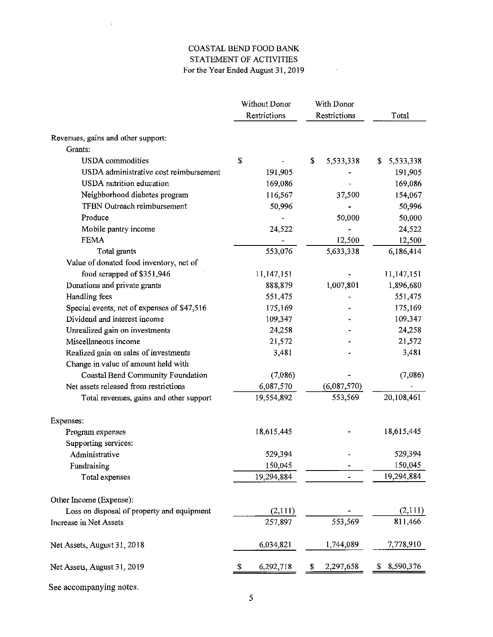# COASTAL BEND FOOD BANK STATEMENT OF ACTIVITIES For the Year Ended August 31, 2019

|                                             | Without Donor<br>Restrictions | With Donor<br>Restrictions | Total          |
|---------------------------------------------|-------------------------------|----------------------------|----------------|
| Revenues, gains and other support:          |                               |                            |                |
| Grants:                                     |                               |                            |                |
| USDA commodities                            | \$                            | \$<br>5,533,338            | 5,533,338<br>S |
| USDA administrative cost reimbursement      | 191,905                       |                            | 191,905        |
| USDA nutrition education                    | 169,086                       |                            | 169,086        |
| Neighborhood diabetes program               | 116,567                       | 37,500                     | 154,067        |
| <b>TFBN</b> Outreach reimbursement          | 50,996                        |                            | 50,996         |
| Produce                                     |                               | 50,000                     | 50,000         |
| Mobile pantry income                        | 24,522                        |                            | 24,522         |
| <b>FEMA</b>                                 |                               | 12,500                     | 12,500         |
| Total grants                                | 553,076                       | 5,633,338                  | 6,186,414      |
| Value of donated food inventory, net of     |                               |                            |                |
| food scrapped of \$351,946                  | 11,147,151                    |                            | 11,147,151     |
| Donations and private grants                | 888,879                       | 1,007,801                  | 1,896,680      |
| Handling fees                               | 551,475                       |                            | 551,475        |
| Special events, net of expenses of \$47,516 | 175,169                       |                            | 175,169        |
| Dividend and interest income                | 109,347                       |                            | 109,347        |
| Unrealized gain on investments              | 24,258                        |                            | 24,258         |
| Miscellaneous income                        | 21,572                        |                            | 21,572         |
| Realized gain on sales of investments       | 3,481                         |                            | 3,481          |
| Change in value of amount held with         |                               |                            |                |
| Coastal Bend Community Foundation           | (7,086)                       |                            | (7,086)        |
| Net assets released from restrictions       | 6,087,570                     | (6,087,570)                |                |
| Total revenues, gains and other support     | 19,554,892                    | 553,569                    | 20,108,461     |
| Expenses:                                   |                               |                            |                |
| Program expenses                            | 18,615,445                    |                            | 18,615,445     |
| Supporting services:                        |                               |                            |                |
| Administrative                              | 529,394                       |                            | 529,394        |
| Fundraising                                 | 150,045                       |                            | 150,045        |
| Total expenses                              | 19,294,884                    |                            | 19,294,884     |
| Other Income (Expense):                     |                               |                            |                |
| Loss on disposal of property and equipment  | (2,111)                       |                            | (2,111)        |
| Increase in Net Assets                      | 257,897                       | 553,569                    | 811,466        |
| Net Assets, August 31, 2018                 | 6,034,821                     | 1,744,089                  | 7,778,910      |
| Net Assets, August 31, 2019                 | \$<br>6,292,718               | 2,297,658<br>\$            | 8,590,376      |

See accompanying notes.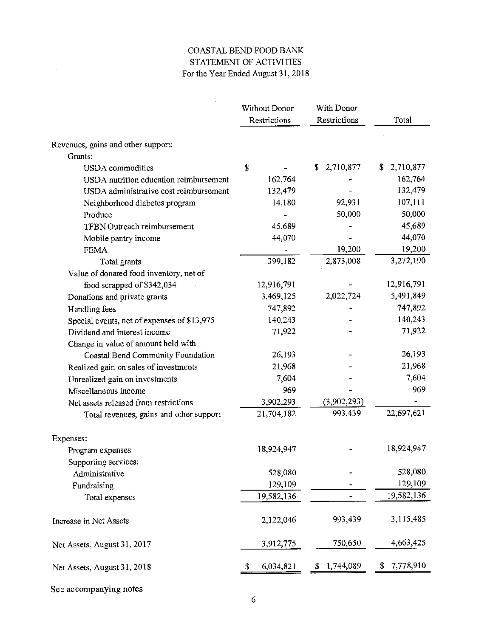# COASTAL BEND FOOD BANK STATEMENT OF ACTIVITIES For the Year Ended August 31, 2018

| Restrictions<br>Restrictions<br>Total<br>Revenues, gains and other support:<br>Grants:<br>2,710,877<br>\$2,710,877<br>S<br><b>USDA</b> commodities<br>S.<br>162,764<br>USDA nutrition education reimbursement<br>USDA administrative cost reimbursement<br>132,479<br>14,180<br>92,931<br>Neighborhood diabetes program<br>50,000<br>Produce<br>TFBN Outreach reimbursement<br>45,689<br>44,070<br>Mobile pantry income<br>19,200<br><b>FEMA</b><br>2,873,008<br>399,182<br>Total grants<br>Value of donated food inventory, net of<br>12,916,791<br>12,916,791<br>food scrapped of \$342,034<br>2,022,724<br>3,469,125<br>Donations and private grants<br>747,892<br>Handling fees<br>140,243<br>Special events, net of expenses of \$13,975<br>71,922<br>Dividend and interest income<br>Change in value of amount held with<br>26,193<br>Coastal Bend Community Foundation<br>21,968<br>Realized gain on sales of investments<br>7,604<br>Unrealized gain on investments<br>969<br>Miscellaneous income<br>3,902,293<br>(3,902,293)<br>Net assets released from restrictions<br>22,697,621<br>993,439<br>21,704,182<br>Total revenues, gains and other support | 162,764<br>132,479<br>107,111<br>50,000<br>45,689<br>44,070<br>19,200<br>3,272,190 |
|-------------------------------------------------------------------------------------------------------------------------------------------------------------------------------------------------------------------------------------------------------------------------------------------------------------------------------------------------------------------------------------------------------------------------------------------------------------------------------------------------------------------------------------------------------------------------------------------------------------------------------------------------------------------------------------------------------------------------------------------------------------------------------------------------------------------------------------------------------------------------------------------------------------------------------------------------------------------------------------------------------------------------------------------------------------------------------------------------------------------------------------------------------------------|------------------------------------------------------------------------------------|
|                                                                                                                                                                                                                                                                                                                                                                                                                                                                                                                                                                                                                                                                                                                                                                                                                                                                                                                                                                                                                                                                                                                                                                   |                                                                                    |
|                                                                                                                                                                                                                                                                                                                                                                                                                                                                                                                                                                                                                                                                                                                                                                                                                                                                                                                                                                                                                                                                                                                                                                   |                                                                                    |
|                                                                                                                                                                                                                                                                                                                                                                                                                                                                                                                                                                                                                                                                                                                                                                                                                                                                                                                                                                                                                                                                                                                                                                   |                                                                                    |
|                                                                                                                                                                                                                                                                                                                                                                                                                                                                                                                                                                                                                                                                                                                                                                                                                                                                                                                                                                                                                                                                                                                                                                   |                                                                                    |
|                                                                                                                                                                                                                                                                                                                                                                                                                                                                                                                                                                                                                                                                                                                                                                                                                                                                                                                                                                                                                                                                                                                                                                   |                                                                                    |
|                                                                                                                                                                                                                                                                                                                                                                                                                                                                                                                                                                                                                                                                                                                                                                                                                                                                                                                                                                                                                                                                                                                                                                   |                                                                                    |
|                                                                                                                                                                                                                                                                                                                                                                                                                                                                                                                                                                                                                                                                                                                                                                                                                                                                                                                                                                                                                                                                                                                                                                   |                                                                                    |
|                                                                                                                                                                                                                                                                                                                                                                                                                                                                                                                                                                                                                                                                                                                                                                                                                                                                                                                                                                                                                                                                                                                                                                   |                                                                                    |
|                                                                                                                                                                                                                                                                                                                                                                                                                                                                                                                                                                                                                                                                                                                                                                                                                                                                                                                                                                                                                                                                                                                                                                   |                                                                                    |
|                                                                                                                                                                                                                                                                                                                                                                                                                                                                                                                                                                                                                                                                                                                                                                                                                                                                                                                                                                                                                                                                                                                                                                   |                                                                                    |
|                                                                                                                                                                                                                                                                                                                                                                                                                                                                                                                                                                                                                                                                                                                                                                                                                                                                                                                                                                                                                                                                                                                                                                   |                                                                                    |
|                                                                                                                                                                                                                                                                                                                                                                                                                                                                                                                                                                                                                                                                                                                                                                                                                                                                                                                                                                                                                                                                                                                                                                   |                                                                                    |
|                                                                                                                                                                                                                                                                                                                                                                                                                                                                                                                                                                                                                                                                                                                                                                                                                                                                                                                                                                                                                                                                                                                                                                   |                                                                                    |
|                                                                                                                                                                                                                                                                                                                                                                                                                                                                                                                                                                                                                                                                                                                                                                                                                                                                                                                                                                                                                                                                                                                                                                   |                                                                                    |
|                                                                                                                                                                                                                                                                                                                                                                                                                                                                                                                                                                                                                                                                                                                                                                                                                                                                                                                                                                                                                                                                                                                                                                   | 5,491,849                                                                          |
|                                                                                                                                                                                                                                                                                                                                                                                                                                                                                                                                                                                                                                                                                                                                                                                                                                                                                                                                                                                                                                                                                                                                                                   | 747,892                                                                            |
|                                                                                                                                                                                                                                                                                                                                                                                                                                                                                                                                                                                                                                                                                                                                                                                                                                                                                                                                                                                                                                                                                                                                                                   | 140,243                                                                            |
|                                                                                                                                                                                                                                                                                                                                                                                                                                                                                                                                                                                                                                                                                                                                                                                                                                                                                                                                                                                                                                                                                                                                                                   | 71,922                                                                             |
|                                                                                                                                                                                                                                                                                                                                                                                                                                                                                                                                                                                                                                                                                                                                                                                                                                                                                                                                                                                                                                                                                                                                                                   |                                                                                    |
|                                                                                                                                                                                                                                                                                                                                                                                                                                                                                                                                                                                                                                                                                                                                                                                                                                                                                                                                                                                                                                                                                                                                                                   | 26,193                                                                             |
|                                                                                                                                                                                                                                                                                                                                                                                                                                                                                                                                                                                                                                                                                                                                                                                                                                                                                                                                                                                                                                                                                                                                                                   | 21,968                                                                             |
|                                                                                                                                                                                                                                                                                                                                                                                                                                                                                                                                                                                                                                                                                                                                                                                                                                                                                                                                                                                                                                                                                                                                                                   | 7,604                                                                              |
|                                                                                                                                                                                                                                                                                                                                                                                                                                                                                                                                                                                                                                                                                                                                                                                                                                                                                                                                                                                                                                                                                                                                                                   | 969                                                                                |
|                                                                                                                                                                                                                                                                                                                                                                                                                                                                                                                                                                                                                                                                                                                                                                                                                                                                                                                                                                                                                                                                                                                                                                   |                                                                                    |
|                                                                                                                                                                                                                                                                                                                                                                                                                                                                                                                                                                                                                                                                                                                                                                                                                                                                                                                                                                                                                                                                                                                                                                   |                                                                                    |
| Expenses:                                                                                                                                                                                                                                                                                                                                                                                                                                                                                                                                                                                                                                                                                                                                                                                                                                                                                                                                                                                                                                                                                                                                                         |                                                                                    |
| 18,924,947<br>Program expenses                                                                                                                                                                                                                                                                                                                                                                                                                                                                                                                                                                                                                                                                                                                                                                                                                                                                                                                                                                                                                                                                                                                                    | 18,924,947                                                                         |
| Supporting services:                                                                                                                                                                                                                                                                                                                                                                                                                                                                                                                                                                                                                                                                                                                                                                                                                                                                                                                                                                                                                                                                                                                                              |                                                                                    |
| 528,080<br>Administrative                                                                                                                                                                                                                                                                                                                                                                                                                                                                                                                                                                                                                                                                                                                                                                                                                                                                                                                                                                                                                                                                                                                                         | 528,080                                                                            |
| 129,109<br>Fundraising                                                                                                                                                                                                                                                                                                                                                                                                                                                                                                                                                                                                                                                                                                                                                                                                                                                                                                                                                                                                                                                                                                                                            | 129,109                                                                            |
| 19,582,136<br>Total expenses                                                                                                                                                                                                                                                                                                                                                                                                                                                                                                                                                                                                                                                                                                                                                                                                                                                                                                                                                                                                                                                                                                                                      | 19,582,136                                                                         |
|                                                                                                                                                                                                                                                                                                                                                                                                                                                                                                                                                                                                                                                                                                                                                                                                                                                                                                                                                                                                                                                                                                                                                                   |                                                                                    |
| 993,439<br>2,122,046<br>Increase in Net Assets                                                                                                                                                                                                                                                                                                                                                                                                                                                                                                                                                                                                                                                                                                                                                                                                                                                                                                                                                                                                                                                                                                                    | 3,115,485                                                                          |
| 750,650<br>3,912,775<br>Net Assets, August 31, 2017                                                                                                                                                                                                                                                                                                                                                                                                                                                                                                                                                                                                                                                                                                                                                                                                                                                                                                                                                                                                                                                                                                               | 4,663,425                                                                          |
| 1,744,089<br>6,034,821<br>\$<br>\$<br>\$<br>Net Assets, August 31, 2018                                                                                                                                                                                                                                                                                                                                                                                                                                                                                                                                                                                                                                                                                                                                                                                                                                                                                                                                                                                                                                                                                           | 7,778,910                                                                          |

See accompanying notes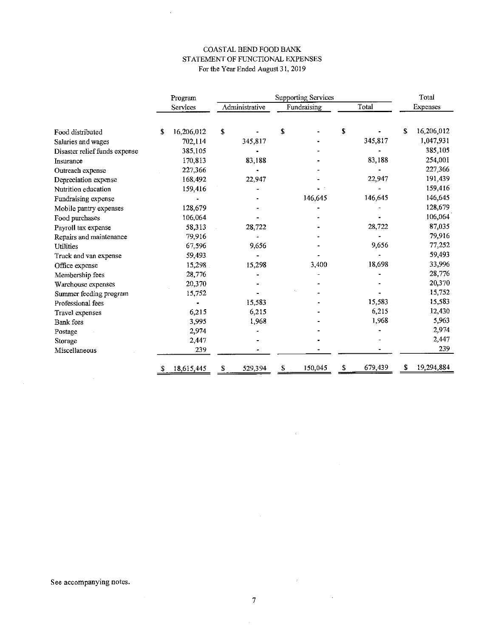# COASTAL BEND FOOD BANK STATEMENT OF FUNCTIONAL EXPENSES For the Year Ended August 31, 2019

 $\bar{\beta}$ 

|                               | Program          | <b>Supporting Services</b> |                               |    |         |          |         | Total |            |
|-------------------------------|------------------|----------------------------|-------------------------------|----|---------|----------|---------|-------|------------|
|                               | Services         |                            | Administrative<br>Fundraising |    | Total   | Expenses |         |       |            |
| Food distributed              | \$<br>16,206,012 | \$                         |                               | S  |         | \$       |         | \$    | 16,206,012 |
| Salaries and wages            | 702,114          |                            | 345.817                       |    |         |          | 345,817 |       | 1,047,931  |
| Disaster relief funds expense | 385,105          |                            |                               |    |         |          |         |       | 385,105    |
| Insurance                     | 170,813          |                            | 83,188                        |    |         |          | 83,188  |       | 254,001    |
| Outreach expense              | 227,366          |                            |                               |    |         |          |         |       | 227,366    |
| Depreciation expense          | 168,492          |                            | 22,947                        |    |         |          | 22,947  |       | 191,439    |
| Nutrition education           | 159,416          |                            |                               |    |         |          |         |       | 159,416    |
| Fundraising expense           |                  |                            |                               |    | 146,645 |          | 146,645 |       | 146,645    |
| Mobile pantry expenses        | 128,679          |                            |                               |    |         |          |         |       | 128,679    |
| Food purchases                | 106,064          |                            |                               |    |         |          |         |       | 106,064    |
| Payroll tax expense           | 58,313           |                            | 28,722                        |    |         |          | 28,722  |       | 87,035     |
| Repairs and maintenance       | 79,916           |                            |                               |    |         |          |         |       | 79,916     |
| <b>Utilities</b>              | 67,596           |                            | 9,656                         |    |         |          | 9,656   |       | 77,252     |
| Truck and van expense         | 59,493           |                            |                               |    |         |          |         |       | 59,493     |
| Office expense                | 15,298           |                            | 15,298                        |    | 3,400   |          | 18,698  |       | 33,996     |
| Membership fees               | 28,776           |                            |                               |    |         |          |         |       | 28,776     |
| Warehouse expenses            | 20,370           |                            |                               |    |         |          |         |       | 20,370     |
| Summer feeding program        | 15,752           |                            |                               |    |         |          |         |       | 15,752     |
| Professional fees             |                  |                            | 15,583                        |    |         |          | 15,583  |       | 15,583     |
| Travel expenses               | 6,215            |                            | 6,215                         |    |         |          | 6,215   |       | 12,430     |
| Bank fees                     | 3,995            |                            | 1.968                         |    |         |          | 1,968   |       | 5,963      |
| Postage                       | 2,974            |                            |                               |    |         |          |         |       | 2,974      |
| Storage                       | 2,447            |                            |                               |    |         |          |         |       | 2,447      |
| Miscellaneous                 | 239              |                            |                               |    |         |          |         |       | 239        |
|                               | 18,615,445       | S                          | 529,394                       | \$ | 150,045 | \$       | 679.439 | S     | 19,294,884 |

 $\mathcal{A}^{\mathcal{A}}$ 

 $\sim 10^7$ 

 $\mathcal{L}^{\mathcal{L}}$ 

 $\label{eq:2} \mathcal{L} = \mathcal{L} \left( \mathcal{L} \right) \left( \mathcal{L} \right)$ 

 $\sim 10^{11}$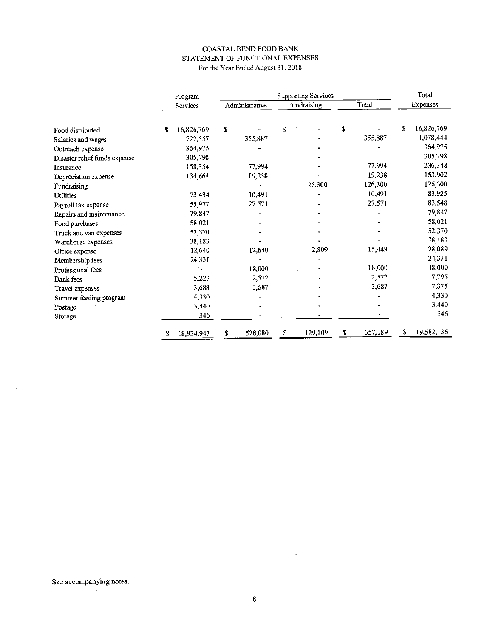#### COASTAL BEND FOOD BANK STATEMENT OF FUNCTIONAL EXPENSES For the Year Ended August31, 2018

|                               | Program<br>Services |            | <b>Supporting Services</b> |                               |    |         |    |         | Total    |            |
|-------------------------------|---------------------|------------|----------------------------|-------------------------------|----|---------|----|---------|----------|------------|
|                               |                     |            |                            | Administrative<br>Fundraising |    | Total   |    |         | Expenses |            |
| Food distributed              | S                   | 16,826,769 | \$                         |                               | \$ |         | \$ |         | \$       | 16,826,769 |
| Salarics and wages            |                     | 722,557    |                            | 355,887                       |    |         |    | 355,887 |          | 1,078,444  |
| Outreach expense              |                     | 364,975    |                            |                               |    |         |    |         |          | 364,975    |
| Disaster relief funds expense |                     | 305,798    |                            |                               |    |         |    |         |          | 305,798    |
| Insurance                     |                     | 158,354    |                            | 77,994                        |    |         |    | 77,994  |          | 236,348    |
| Depreciation expense          |                     | 134,664    |                            | 19,238                        |    |         |    | 19,238  |          | 153,902    |
| Fundraising                   |                     |            |                            |                               |    | 126,300 |    | 126,300 |          | 126,300    |
| Utilities                     |                     | 73,434     |                            | 10,491                        |    |         |    | 10,491  |          | 83,925     |
| Payroll tax expense           |                     | 55,977     |                            | 27,571                        |    |         |    | 27,571  |          | 83,548     |
| Repairs and maintenance       |                     | 79,847     |                            |                               |    |         |    |         |          | 79,847     |
| Food purchases                |                     | 58,021     |                            |                               |    |         |    |         |          | 58,021     |
| Truck and van expenses        |                     | 52,370     |                            |                               |    |         |    |         |          | 52,370     |
| Warehouse expenses            |                     | 38,183     |                            |                               |    |         |    |         |          | 38,183     |
| Office expense                |                     | 12,640     |                            | 12,640                        |    | 2,809   |    | 15,449  |          | 28,089     |
| Membership fees               |                     | 24,331     |                            |                               |    |         |    |         |          | 24,331     |
| Professional fees             |                     |            |                            | 18,000                        |    |         |    | 18,000  |          | 18,000     |
| <b>Bank</b> fees              |                     | 5,223      |                            | 2,572                         |    |         |    | 2,572   |          | 7,795      |
| Travel expenses               |                     | 3,688      |                            | 3,687                         |    |         |    | 3,687   |          | 7,375      |
| Summer feeding program        |                     | 4,330      |                            |                               |    |         |    |         |          | 4,330      |
| Postage                       |                     | 3,440      |                            |                               |    |         |    |         |          | 3,440      |
| Storage                       |                     | 346        |                            |                               |    |         |    |         |          | 346        |
|                               | S                   | 18,924,947 | \$                         | 528,080                       | \$ | 129,109 | \$ | 657,189 | \$       | 19,582,136 |

See accompanying notes.

8

 $\mathcal{L}$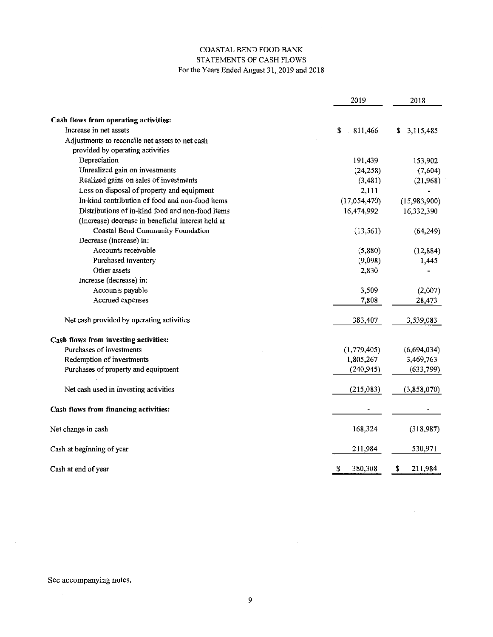# COASTAL BEND FOOD BANK STATEMENTS OF CASH FLOWS For the Years Ended August 31, 2019 and 2018

|                                                    | 2019          | 2018          |
|----------------------------------------------------|---------------|---------------|
|                                                    |               |               |
| Cash flows from operating activities:              |               |               |
| Increase in net assets                             | \$<br>811,466 | \$3,115,485   |
| Adjustments to reconcile net assets to net cash    |               |               |
| provided by operating activities                   |               |               |
| Depreciation                                       | 191,439       | 153,902       |
| Unrealized gain on investments                     | (24, 258)     | (7,604)       |
| Realized gains on sales of investments             | (3,481)       | (21,968)      |
| Loss on disposal of property and equipment         | 2,111         |               |
| In-kind contribution of food and non-food items    | (17,054,470)  | (15,983,900)  |
| Distributions of in-kind food and non-food items   | 16,474,992    | 16,332,390    |
| (Increase) decrease in beneficial interest held at |               |               |
| Coastal Bend Community Foundation                  | (13, 561)     | (64, 249)     |
| Decrease (increase) in:                            |               |               |
| Accounts receivable                                | (5,880)       | (12, 884)     |
| Purchased inventory                                | (9,098)       | 1,445         |
| Other assets                                       | 2,830         |               |
| Increase (decrease) in:                            |               |               |
| Accounts payable                                   | 3,509         | (2,007)       |
| Accrued expenses                                   | 7,808         | 28,473        |
| Net cash provided by operating activities          | 383,407       | 3,539,083     |
| Cash flows from investing activities:              |               |               |
| Purchases of investments                           | (1,779,405)   | (6,694,034)   |
| Redemption of investments                          | 1,805,267     | 3,469,763     |
| Purchases of property and equipment                | (240, 945)    | (633, 799)    |
| Net cash used in investing activities              | (215,083)     | (3,858,070)   |
| Cash flows from financing activities:              |               |               |
| Net change in cash                                 | 168,324       | (318,987)     |
| Cash at beginning of year                          | 211,984       | 530,971       |
| Cash at end of year                                | \$<br>380,308 | \$<br>211,984 |

See accompanying notes.

 $\mathcal{A}^{\prime}$ 

 $\sim$ 

 $\mathcal{L}_{\mathbf{A}}$  .

 $\sim$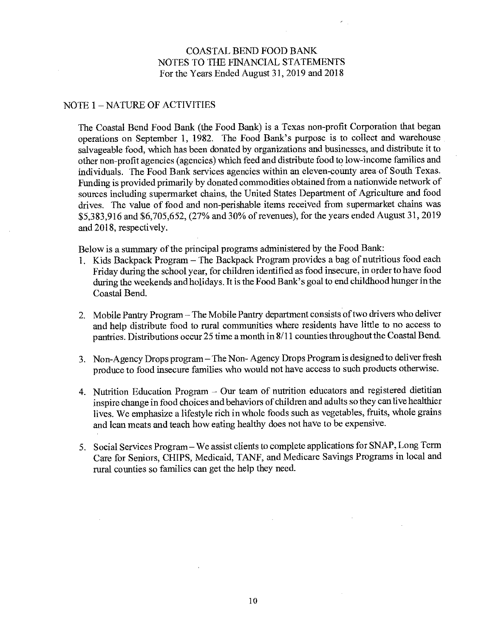# NOTE 1— NATURE OF ACTIVITIES

The Coastal Bend Food Bank (the Food Bank) is a Texas non-profit Corporation that began operations on September 1, 1982, The Food Bank's purpose is to collect and warehouse salvageable food, which has been donated by organizations and businesses, and distribute it to other non-profit agencies (agencies) which feed and distribute food to low-income families and individuals. The Food Bank services agencies within an eleven-county area of South Texas. Funding is provided primarily by donated commodities obtained from a nationwide network of sources including supermarket chains, the United States Department of Agriculture and food drives. The value of food and non-perishable items received from supermarket chains was \$5,383,916 and \$6,705,652, (27% and 30% of revenues), for the years ended August 31, 2019 and 2018, respectively.

Below is a summary of the principal programs administered by the Food Bank:

- 1. Kids Backpack Program The Backpack Program provides a bag of nutritious food each Friday during the school year, for children identified as food insecure, in order to have food during the weekends and holidays. It is the Food Bank's goal to end childhood hunger in the Coastal Bend.
- 2. Mobile Pantry Program The Mobile Pantry department consists of two drivers who deliver and help distribute food to rural communities where residents have little to no access to pantries. Distributions occur 25 time a month in 8/11 counties throughout the Coastal Bend.
- 3. Non-Agency Drops program The Non- Agency Drops Program is designed to deliver fresh produce to food insecure families who would not have access to such products otherwise.
- 4. Nutrition Education Program Our team of nutrition educators and registered dietitian inspire change in food choices and behaviors of children and adults so they can live healthier lives. We emphasize a lifestyle rich in whole foods such as vegetables, fruits, whole grains and lean meats and teach how eating healthy does not have to be expensive.
- 5. Social Services Program We assist clients to complete applications for SNAP, Long Term Care for Seniors, CHIPS, Medicaid, TANF, and Medicare Savings Programs in local and rural counties so families can get the help they need.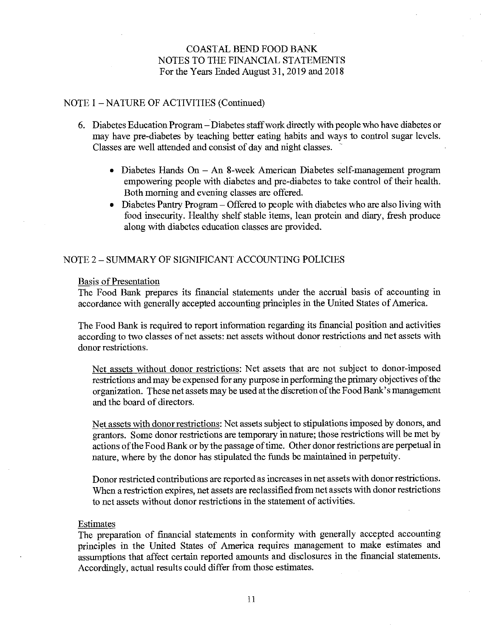# NOTE I - NATURE OF ACTIVITIES (Continued)

- 6. Diabetes Education Program —Diabetes staff work directly with people who have diabetes or may have pre-diabetes by teaching better eating habits and ways to control sugar levels. Classes are well attended and consist of day and night classes.
	- Diabetes Hands On An 8-week American Diabetes self-management program empowering people with diabetes and pre-diabetes to take control of their health. Both morning and evening classes are offered.
	- Diabetes Pantry Program Offered to people with diabetes who are also living with food insecurity. Healthy shelf stable items, lean protein and diary, fresh produce along with diabetes education classes are provided.

# NOTE 2— SUMMARY OF SIGNIFICANT ACCOUNTING POLICIES

#### Basis of Presentation

The Food Bank prepares its financial statements under the accrual basis of accounting in accordance with generally accepted accounting principles in the United States of America.

The Food Bank is required to report information regarding its financial position and activities according to two classes of net assets: net assets without donor restrictions and net assets with donor restrictions.

Net assets without donor restrictions: Net assets that are not subject to donor-imposed restrictions and may be expensed for any purpose in performing the primary objectives of the organization. These net assets may be used at the discretion of the Food Bank's management and the board of directors.

Net assets with donor restrictions: Net assets subject to stipulations imposed by donors, and grantors. Some donor restrictions are temporary in nature; those restrictions will be met by actions of the Food Bank or by the passage of time. Other donor iestrictions are perpetual in nature, where by the donor has stipulated the funds be maintained in perpetuity.

Donor restricted contributions are reported as increases in net assets with donor restrictions. When a restriction expires, net assets are reclassified from net assets with donor restrictions to net assets without donor restrictions in the statement of activities.

#### Estimates

The preparation of financial statements in conformity with generally accepted accounting principles in the United States of America requires management to make estimates and assumptions that affect certain reported amounts and disclosures in the financial statements. Accordingly, actual results could differ from those estimates.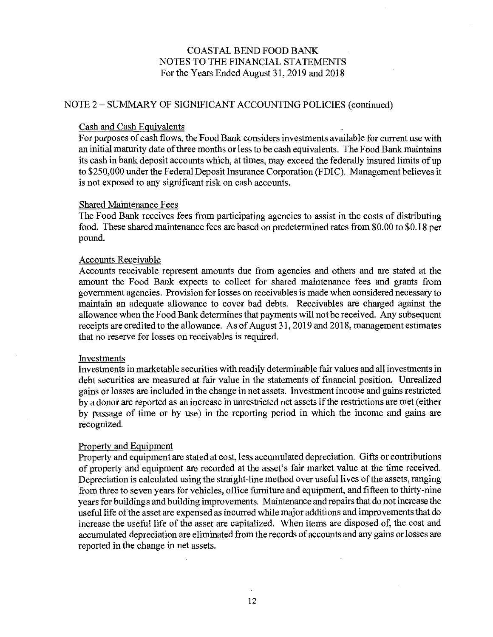# NOTE 2— SUMMARY OF SIGNIFICANT ACCOUNTING POLICIES (continued)

#### Cash and Cash Equivalents

For purposes of cash flows, the Food Bank considers investments available for current use with an initial maturity date of three months or less to be cash equivalents. The Food Bank maintains its cash in bank deposit accounts which, at times, may exceed the federally insured limits of up to \$250,000 under the Federal Deposit Insurance Corporation (FDIC). Management believes it is not exposed to any significant risk on cash accounts.

#### Shared Maintenance Fees

The Food Bank receives fees from participating agencies to assist in the costs of distributing food. These shared maintenance fees are based on predetermined rates from \$0.00 to \$0.18 per pound.

#### Accounts Receivable

Accounts receivable represent amounts due from agencies and others and are stated at the amount the Food Bank expects to collect for shared maintenance fees and grants from government agencies. Provision for losses on receivables is made when considered necessary to maintain an adequate allowance to cover bad debts. Receivables are charged against the allowance when the Food Bank determines that payments will not be received. Any subsequent receipts are credited to the allowance. As of August 31, 2019 and 2018, management estimates that no reserve for losses on receivables is required.

#### Investments

Investments in marketable securities with readily determinable fair values and all investments in debt securities are measured at fair value in the statements of financial position. Unrealized gains or losses are included in the change in net assets. Investment income and gains restricted by a donor are reported as an increase in unrestricted net assets if the restrictions are met (either by passage of time or by use) in the reporting period in which the income and gains are recognized.

#### Property and Equipment

Property and equipment are stated at cost, less accumulated depreciation. Gifts or contributions of property and equipment are recorded at the asset's fair market value at the time received. Depreciation is calculated using the straight-line method over useful lives of the assets, ranging from three to seven years for vehicles, office furniture and equipment, and fifteen to thirty-nine years for buildings and building improvements. Maintenance and repairs that do not increase the useful life of the asset are expensed as incurred while major additions and improvements that do increase the useful life of the asset are capitalized. When items are disposed of, the cost and accumulated depreciation are eliminated from the records of accounts and any gains or losses are reported in the change in net assets.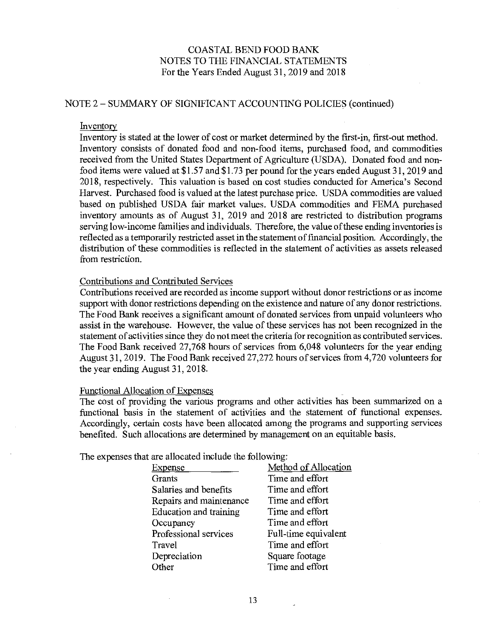# NOTE 2— SUMMARY OF SIGNIFICANT ACCOUNTING POLICIES (continued)

#### Inventory

Inventory is stated at the lower of cost or market determined by the first-in, first-out method. Inventory consists of donated food and non-food items, purchased food, and commodities received from the United States Department of Agriculture (USDA). Donated food and nonfood items were valued at \$1.57 and \$1.73 per pound for the years ended August 31, 2019 and 2018, respectively. This valuation is based on cost studies conducted for America's Second Harvest. Purchased food is valued at the latest purchase price. USDA commodities are valued based on published USDA fair market values. USDA commodities and FEMA purchased inventory amounts as of August 31, 2019 and 2018 are restricted to distribution programs serving low-income families and individuals. Therefore, the value of these ending inventories is reflected as a temporarily restricted asset in the statement of financial position. Accordingly, the distribution of these commodities is reflected in the statement of activities as assets released from restriction.

#### Contributions and Contributed Services

Contributions received are recorded as income support without donor restrictions or as income support with donor restrictions depending on the existence and nature of any donor restrictions. The Food Bank receives a significant amount of donated services from unpaid volunteers who assist in the warehouse. However, the value of these services has not been recognized in the statement of activities since they do not meet the criteria for recognition as contributed services. The Food Bank received 27,768 hours of services from 6,048 volunteers for the year ending August 31, 2019. The Food Bank received 27,272 hours of services from 4,720 volunteers for the year ending August 31, 2018.

#### Functional Allocation of Expenses

The cost of providing the various programs and other activities has been summarized on a functional basis in the statement of activities and the statement of functional expenses. Accordingly, certain costs have been allocated among the programs and supporting services benefited. Such allocations are determined by management on an equitable basis.

The expenses that are allocated include the following:

| Expense                 | Method of Allocation |
|-------------------------|----------------------|
| Grants                  | Time and effort      |
| Salaries and benefits   | Time and effort      |
| Repairs and maintenance | Time and effort      |
| Education and training  | Time and effort      |
| Occupancy               | Time and effort      |
| Professional services   | Full-time equivalent |
| Travel                  | Time and effort      |
| Depreciation            | Square footage       |
| Other                   | Time and effort      |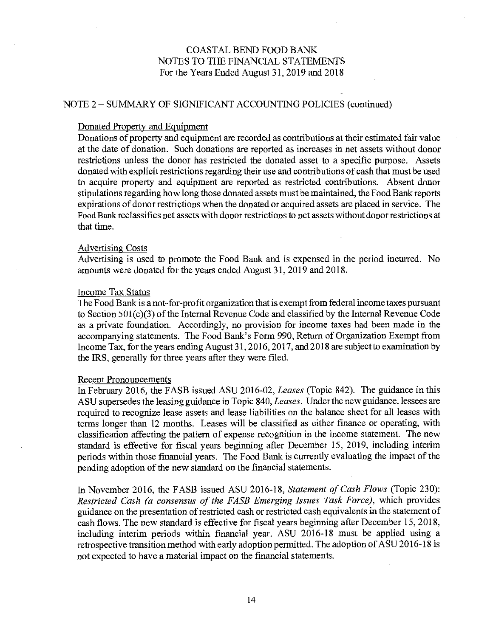# NOTE 2— SUMMARY OF SIGNIFICANT ACCOUNTING POLICIES (continued)

# Donated Property and Equipment

Donations of property and equipment are recorded as contributions at their estimated fair value at the date of donation. Such donations are reported as increases in net assets without donor restrictions unless the donor has restricted the donated asset to a specific purpose. Assets donated with explicit restrictions regarding their use and contributions of cash that must be used to acquire property and equipment are reported as restricted contributions. Absent donor stipulations regarding how long those donated assets must be maintained, the Food Bank reports expirations of donor restrictions when the donated or acquired assets are placed in service. The Food Bank reclassifies net assets with donor restrictions to net assets without donor restrictions at that time.

#### Advertising Costs

Advertising is used to promote the Food Bank and is expensed in the period incurred. No amounts were donated for the years ended August 31, 2019 and 2018.

# Income Tax Status

The Food Bank is a not-for-profit organization that is exempt from federal income taxes pursuant to Section *501(c)(3)* of the Internal Revenue Code and classified by the Internal Revenue Code as a private foundation. Accordingly, no provision for income taxes had been made in the accompanying statements. The Food Bank's Form 990, Return of Organization Exempt from Income Tax, for the years ending August 31, 2016, 2017, and 2018 are subject to examination by the IRS, generally for three years after they were filed.

#### Recent Pronouncements

In February 2016, the FASB issued ASU 2016-02, *Leases (Topic* 842). The guidance in this ASU supersedes the leasing guidance in Topic 840, *Leases.* Under the new guidance, lessees are required to recognize lease assets and lease liabilities on the balance sheet for all leases with terms longer than 12 months. Leases will be classified as either finance or operating, with classification affecting the pattern of expense recognition in the income statement. The new standard is effective for fiscal years beginning after December 15, 2019, including interim periods within those financial years. The Food Bank is currently evaluating the impact of the pending adoption of the new standard on the financial statements.

In November 2016, the FASB issued ASU 2016-18, *Statement of Cash Flows (Topic* 230): *Restricted Cash (a consensus of the FASB Emerging Issues Task Force),* which provides guidance on the presentation of restricted cash or restricted cash equivalents in the statement of cash flows. The new standard is effective for fiscal years beginning after December *15,* 2018, including interim periods within financial year. ASU 2016-18 must be applied using a retrospective transition method with early adoption permitted. The adoption of ASU 2016-18 is not expected to have a material impact on the financial statements.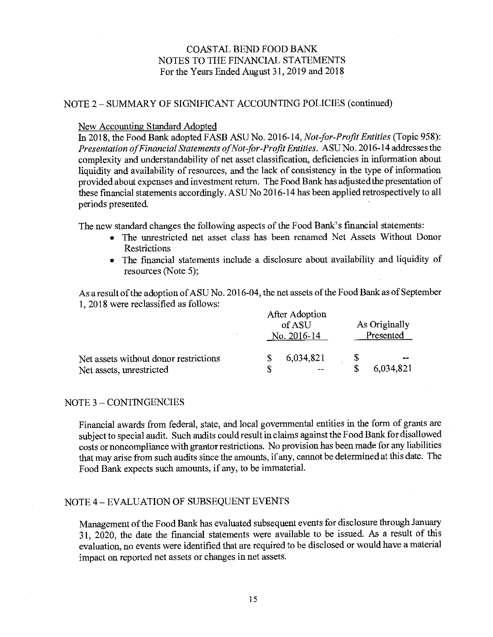# NOTE 2— SUMMARY OF SIGNIFICANT ACCOUNTING POLICIES (continued)

#### New Accounting Standard Adopted

In 2018, the Food Bank adopted FASB ASU No. 2016-14, *Not-for-Profit Entities (Topic 958): Presentation ofFinancial Statements ofNot-for-Profit Entities. ASU* No. 2016-14 addresses the complexity and understandability of net asset classification, deficiencies in information about liquidity and availability of resources, and the lack of consistency in the type of information provided about expenses and investment return. The Food Bank has adjusted the presentation of these financial statements accordingly. ASU No 2016-14 has been applied retrospectively to all periods presented.

The new standard changes the following aspects of the Food Bank's financial statements:

- . The unrestricted net asset class has been renamed Net Assets Without Donor Restrictions
- . The financial statements include a disclosure about availability and liquidity of resources (Note *5);*

*As* a result of the adoption of ASU No. 2016-04, the net assets of the Food Bank as of September 1, 2018 were reclassified as follows:

|                                                                   | After Adoption<br>of ASU<br>No. 2016-14 |           |    | As Originally<br>Presented |  |  |
|-------------------------------------------------------------------|-----------------------------------------|-----------|----|----------------------------|--|--|
| Net assets without donor restrictions<br>Net assets, unrestricted | S                                       | 6,034,821 | \$ | $-1$<br>6,034,821          |  |  |

# NOTE 3— CONTINGENCIES

Financial awards from federal, state, and local governmental entities in the form of grants are subject to special audit. Such audits could result in claims against the Food Bank for disallowed costs or noncompliance with grantor restrictions. No provision has been made for any liabilities that may arise from such audits since the amounts, if any, cannot be determined at this date. The Food Bank expects such amounts, if any, to be immaterial.

# NOTE 4— EVALUATION OF SUBSEQUENT EVENTS

Management of the Food Bank has evaluated subsequent events for disclosure through January 31, 2020, the date the financial statements were available to be issued. As a result of this evaluation, no events were identified that are required to be disclosed or would have a material impact on reported net assets or changes in net assets.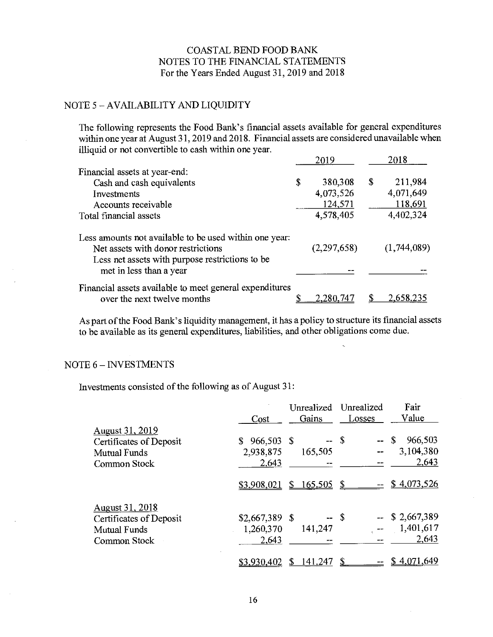# NOTE 5—AVAILABILITY AND LIQUIDITY

The following represents the Food Bank's financial assets available for general expenditures within one year at August 31, 2019 and 2018. Financial assets are considered unavailable when illiquid or not convertible to cash within one year.

|                                                                                                                                                                            | 2019             | 2018          |
|----------------------------------------------------------------------------------------------------------------------------------------------------------------------------|------------------|---------------|
| Financial assets at year-end:                                                                                                                                              |                  |               |
| Cash and cash equivalents                                                                                                                                                  | \$<br>380,308    | \$<br>211,984 |
| Investments                                                                                                                                                                | 4,073,526        | 4,071,649     |
| Accounts receivable                                                                                                                                                        | 124,571          | 118,691       |
| Total financial assets                                                                                                                                                     | 4,578,405        | 4,402,324     |
| Less amounts not available to be used within one year:<br>Net assets with donor restrictions<br>Less net assets with purpose restrictions to be<br>met in less than a year | (2,297,658)      | (1,744,089)   |
| Financial assets available to meet general expenditures<br>over the next twelve months                                                                                     | 2,280,7 <u>4</u> | 2,658.2       |

As part of the Food Bank's liquidity management, it has a policy to structure its financial assets to be available as its general expenditures, liabilities, and other obligations come due.

# NOTE *6—* INVESTMENTS

Investments consisted of the following as of August 31:

|                                            | Cost            | Unrealized<br>Gains | Unrealized<br>Losses | Fair<br>Value    |
|--------------------------------------------|-----------------|---------------------|----------------------|------------------|
| August 31, 2019<br>Certificates of Deposit | $$966,503$ \$   | $-$ \$              |                      | 966,503<br>-- \$ |
| <b>Mutual Funds</b>                        | 2,938,875       | 165,505             |                      | 3,104,380        |
| Common Stock                               | 2,643           |                     |                      | 2,643            |
|                                            | \$3,908,021     | $$165,505$ \$       |                      | \$4.073,526      |
| August 31, 2018                            |                 |                     |                      |                  |
| Certificates of Deposit                    | $$2,667,389$ \$ | -- \$               |                      | $-$ \$ 2,667,389 |
| <b>Mutual Funds</b>                        | 1,260,370       | 141,247             |                      | 1,401,617        |
| Common Stock                               | 2,643           |                     |                      | 2,643            |
|                                            | \$3,930,402     | 41.247              |                      | \$4,071,649      |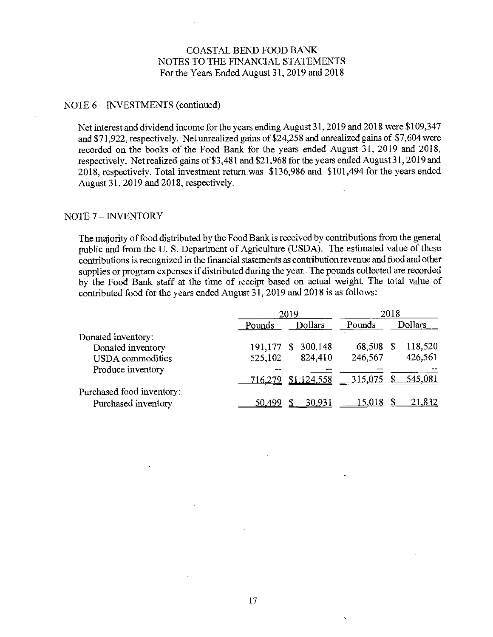#### NOTE 6— INVESTMENTS (continued)

Net interest and dividend income for the years ending August 31, 2019 and 2018 were \$109,347 and \$71,922, respectively. Net unrealized gains of \$24,258 and unrealized gains of \$7,604 were recorded on the books of the Food Bank for the years ended August 31, 2019 and 2018, respectively. Net realized gains of \$3,481 and \$21,968 for the years ended August 31, 2019 and 2018, respectively. Total investment return was \$136,986 and \$101,494 for the years ended August 31, 2019 and 2018, respectively.

#### NOTE 7—INVENTORY

The majority of food distributed by the Food Bank is received by contributions from the general public and from the U. S. Department of Agriculture (USDA). The estimated value of these contributions is recognized in the financial statements as contribution revenue and food and other supplies or program expenses if distributed during the year. The pounds collected are recorded by the Food Bank staff at the time of receipt based on actual weight. The total value of contributed food for the years ended August 31, 2019 and 2018 is as follows:

|                           |         | 2019        | 2018    |                |  |
|---------------------------|---------|-------------|---------|----------------|--|
|                           | Pounds  | Dollars     | Pounds  | <b>Dollars</b> |  |
| Donated inventory:        |         |             |         |                |  |
| Donated inventory         | 191,177 | \$300,148   | 68,508  | 118,520        |  |
| <b>USDA</b> commodities   | 525,102 | 824,410     | 246,567 | 426,561        |  |
| Produce inventory         |         |             |         |                |  |
|                           | 716,279 | \$1,124,558 | 315,075 | <u>545,081</u> |  |
| Purchased food inventory: |         |             |         |                |  |
| Purchased inventory       | 50,499  | 30.931      | 15,018  | 21,832         |  |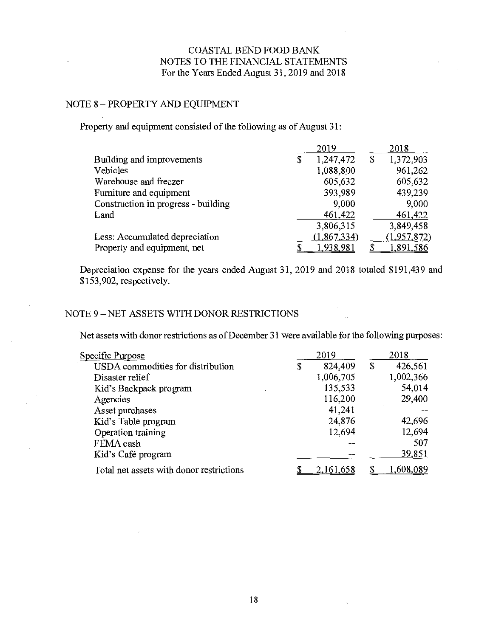# NOTE 8— PROPERTY AND EQUIPMENT

Property and equipment consisted of the following as of August 31:

|                                     | 2019            | 2018            |
|-------------------------------------|-----------------|-----------------|
| Building and improvements           | 1,247,472<br>\$ | 1,372,903<br>\$ |
| Vehicles                            | 1,088,800       | 961,262         |
| Warehouse and freezer               | 605,632         | 605,632         |
| Furniture and equipment             | 393,989         | 439,239         |
| Construction in progress - building | 9,000           | 9,000           |
| Land                                | 461,422         | 461,422         |
|                                     | 3,806,315       | 3,849,458       |
| Less: Accumulated depreciation      | (1,867,334)     | (1, 957, 872)   |
| Property and equipment, net         | 1.938.981       | 1,891,586       |

Depreciation expense for the years ended August 31, 2019 and 2018 totaled \$191,439 and \$153,902, respectively.

# NOTE 9—NET ASSETS WITH DONOR RESTRICTIONS

Net assets with donor restrictions as of December 31 were available for the following purposes:

| Specific Purpose                         | 2019             | 2018          |
|------------------------------------------|------------------|---------------|
| USDA commodities for distribution        | 824,409<br>\$    | \$<br>426,561 |
| Disaster relief                          | 1,006,705        | 1,002,366     |
| Kid's Backpack program                   | 135,533          | 54.014        |
| Agencies                                 | 116,200          | 29,400        |
| Asset purchases                          | 41,241           |               |
| Kid's Table program                      | 24,876           | 42,696        |
| Operation training                       | 12.694           | 12,694        |
| FEMA cash                                |                  | 507           |
| Kid's Café program                       |                  | 39,851        |
| Total net assets with donor restrictions | <u>2,161,658</u> | 1,608,089     |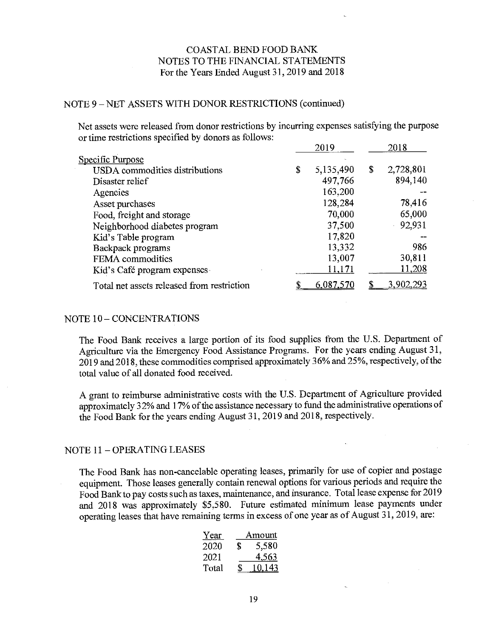# NOTE 9—NET ASSETS WITH DONOR RESTRICTIONS (continued)

Net assets were released from donor restrictions by incurring expenses satisfying the purpose or time restrictions specified by donors as follows:

|                                            | 2019             | 2018            |
|--------------------------------------------|------------------|-----------------|
| <b>Specific Purpose</b>                    |                  |                 |
| USDA commodities distributions             | \$<br>5,135,490  | \$<br>2,728,801 |
| Disaster relief                            | 497,766          | 894,140         |
| Agencies                                   | 163,200          |                 |
| Asset purchases                            | 128,284          | 78,416          |
| Food, freight and storage                  | 70,000           | 65,000          |
| Neighborhood diabetes program              | 37,500           | 92,931          |
| Kid's Table program                        | 17,820           |                 |
| <b>Backpack</b> programs                   | 13,332           | 986             |
| FEMA commodities                           | 13,007           | 30,811          |
| Kid's Café program expenses                | 11,171           | 11,208          |
| Total net assets released from restriction | <u>6,087,570</u> | 3,902,2         |

# NOTE 10— CONCENTRATIONS

The Food Bank receives a large portion of its food supplies from the U.S. Department of Agriculture via the Emergency Food Assistance Programs. For the years ending August 31, 2019 and 2018, these commodities comprised approximately 36% and *25%,* respectively, of the total value of all donated food received.

A grant to reimburse administrative costs with the U.S. Department of Agriculture provided approximately 32% and 17% of the assistance necessary to fund the administrative operations of the Food Bank for the years ending August 31, 2019 and 2018, respectively.

#### NOTE 11 - OPERATING LEASES

The Food Bank has non-cancelable operating leases, primarily for use of copier and postage equipment. Those leases generally contain renewal options for various periods and require the Food Bank to pay costs such as taxes, maintenance, and insurance. Total lease expense for 2019 and 2018 was approximately \$5,580. Future estimated minimum lease payments under operating leases that have remaining terms in excess of one year as of August 31, 2019, are:

| Year  |    | Amount |
|-------|----|--------|
| 2020  | S  | 5,580  |
| 2021  |    | 4,563  |
| Total | Z. | 10,143 |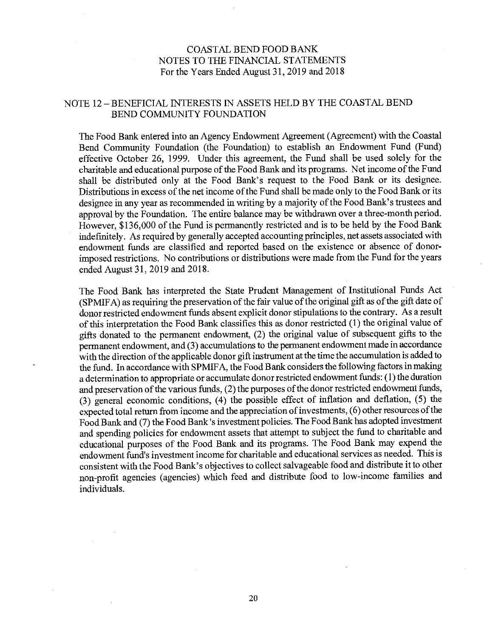# NOTE 12— BENEFICIAL INTERESTS IN ASSETS HELD BY THE COASTAL BEND BEND COMMUNITY FOUNDATION

The Food Bank entered into an Agency Endowment Agreement (Agreement) with the Coastal Bend Community Foundation (the Foundation) to establish an Endowment Fund (Fund) effective October 26, 1999. Under this agreement, the Fund shall be used solely for the charitable and educational purpose of the Food Bank and its programs. Net income of the Fund shall be distributed only at the Food Bank's request to the Food Bank or its designee. Distributions in excess of the net income of the Fund shall be made only to the Food Bank or its designee in any year as recommended in writing by a majority of the Food Bank's trustees and approval by the Foundation. The entire balance may be withdrawn over a three-month period. However, \$136,000 of the Fund is permanently restricted and is to be held by the Food Bank indefinitely. As required by generally accepted accounting principles, net assets associated with endowment hinds are classified and reported based on the existence or absence of donorimposed restrictions. No contributions or distributions were made from the Fund for the years ended August 31, 2019 and 2018.

The Food Bank has interpreted the State Prudent Management of Institutional Funds Act (SPMIFA) as requiring the preservation of the fair value of the original gift as of the gift date of donor restricted endowment funds absent explicit donor stipulations to the contrary. As a result of this interpretation the Food Bank classifies this as donor restricted (1) the original value of gifts donated to the permanent endowment, (2) the original value of subsequent gifts to the permanent endowment, and (3) accumulations to the permanent endowment made in accordance with the direction of the applicable donor gift instrument at the time the accumulation is added to the fund. In accordance with SPMIFA, the Food Bank considers the following factors in making a determination to appropriate or accumulate donor restricted endowment funds: (1) the duration and preservation of the various funds, (2) the purposes of the donor restricted endowment funds, (3) general economic conditions, (4) the possible effect of inflation and deflation, (5) the expected total return from income and the appreciation of investments, (6) other resources of the Food Bank and (7) the Food Bank's investment policies. The Food Bank has adopted investment and spending policies for endowment assets that attempt to subject the fund to charitable and educational purposes of the Food Bank and its programs. The Food Bank may expend the endowment fund's investment income for charitable and educational services as needed. This is consistent with the Food Bank's objectives to collect salvageable food and distribute it to other non-profit agencies (agencies) which feed and distribute food to low-income families and individuals.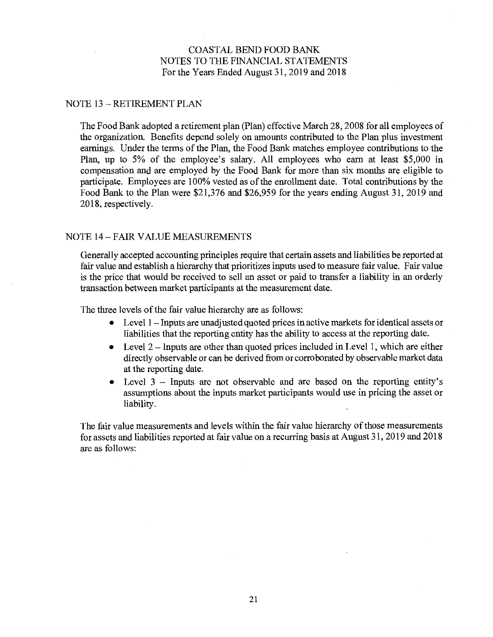# NOTE 13 - RETIREMENT PLAN

The Food Bank adopted a retirement plan (Plan) effective March 28, 2008 for all employees of the organization. Benefits depend solely on amounts contributed to the Plan plus investment earnings. Under the terms of the Plan, the Food Bank matches employee contributions to the Plan, up to *5%* of the employee's salary. All employees who earn at least \$5,000 in compensation and are employed by the Food Bank for more than six months are eligible to participate. Employees are 100% vested as of the enrollment date. Total contributions by the Food Bank to the Plan were \$21,376 and \$26,959 for the years ending August 31, 2019 and 2018, respectively.

# NOTE 14— FAIR VALUE MEASUREMENTS

Generally accepted accounting principles require that certain assets and liabilities be reported at fair value and establish a hierarchy that prioritizes inputs used to measure fair value. Fair value is the price that would be received to sell an asset or paid to transfer a liability in an orderly transaction between market participants at the measurement date.

The three levels of the fair value hierarchy are as follows:

- Level 1 —Inputs are unadjusted quoted prices in active markets for identical assets or liabilities that the reporting entity has the ability to access at the reporting date.
- Level  $2$  Inputs are other than quoted prices included in Level 1, which are either directly observable or can be derived from or corroborated by observable market data at the reporting date.
- Level  $3$  Inputs are not observable and are based on the reporting entity's assumptions about the inputs market participants would use in pricing the asset or at the reporting date.<br>Level 3 – Inputs are not observable and are based on the assumptions about the inputs market participants would use i<br>liability.

The fair value measurements and levels within the fair value hierarchy of those measurements for assets and liabilities reported at fair value on a recurring basis at August 31, 2019 and 2018 are as follows: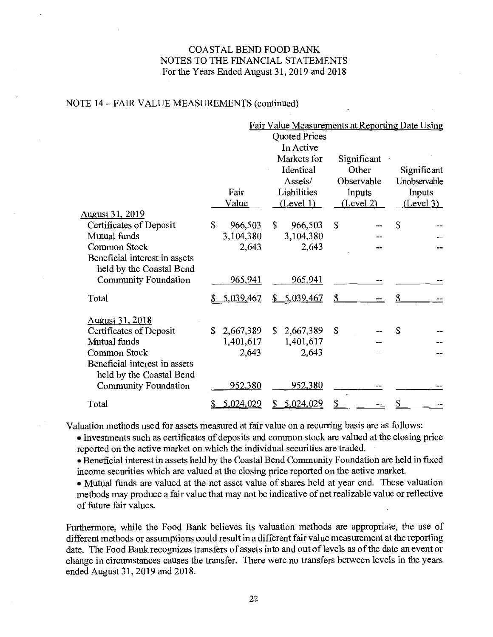# NOTE 14 - FAIR VALUE MEASUREMENTS (continued)

|                                                           | Fair Value Measurements at Reporting Date Using |                 |             |              |  |
|-----------------------------------------------------------|-------------------------------------------------|-----------------|-------------|--------------|--|
|                                                           |                                                 | Quoted Prices   |             |              |  |
|                                                           |                                                 | In Active       |             |              |  |
|                                                           |                                                 | Markets for     | Significant |              |  |
|                                                           |                                                 | Identical       | Other       | Significant  |  |
|                                                           |                                                 | Assets/         | Observable  | Unobservable |  |
|                                                           | Fair                                            | Liabilities     | Inputs      | Inputs       |  |
|                                                           | Value                                           | (Level 1)       | (Level 2)   | (Level 3)    |  |
| August 31, 2019                                           |                                                 |                 |             |              |  |
| Certificates of Deposit                                   | \$<br>966,503                                   | S.<br>966,503   | \$          | \$           |  |
| Mutual funds                                              | 3,104,380                                       | 3,104,380       |             |              |  |
| Common Stock                                              | 2,643                                           | 2,643           |             |              |  |
| Beneficial interest in assets                             |                                                 |                 |             |              |  |
| held by the Coastal Bend                                  |                                                 |                 |             |              |  |
| <b>Community Foundation</b>                               | 965,941                                         | 965,941         |             |              |  |
| Total                                                     | 5,039,467                                       | 5,039,467<br>S  |             |              |  |
| August 31, 2018                                           |                                                 |                 |             |              |  |
| Certificates of Deposit                                   | 2,667,389<br>\$.                                | 2,667,389<br>\$ | \$          | \$           |  |
| Mutual funds                                              | 1,401,617                                       | 1,401,617       |             |              |  |
| Common Stock                                              | 2,643                                           | 2,643           |             |              |  |
| Beneficial interest in assets<br>held by the Coastal Bend |                                                 |                 |             |              |  |
| Community Foundation                                      | 952,380                                         | 952,380         |             |              |  |
| Total                                                     | 5,024,029<br>\$.                                | 5.024,029       |             |              |  |

Valuation methods used for assets measured at fair value on a recurring basis are as follows:

• Investments such as certificates of deposits and common stock are valued at the closing price reported on the active market on which the individual securities are traded.

• Beneficial interest in assets held by the Coastal Bend Community Foundation are held in fixed income securities which are valued at the closing price reported on the active market.

• Mutual funds are valued at the net asset value of shares held at year end. These valuation methods may produce a fair value that may not be indicative of net realizable value or reflective of future fair values.

Furthermore, while the Food Bank believes its valuation methods are appropriate, the use of different methods or assumptions could result in a different fair value measurement at the reporting date. The Food Bank recognizes transfers of assets into and out of levels as of the date an event or change in circumstances causes the transfer. There were no transfers between levels in the years ended August 31, 2019 and 2018.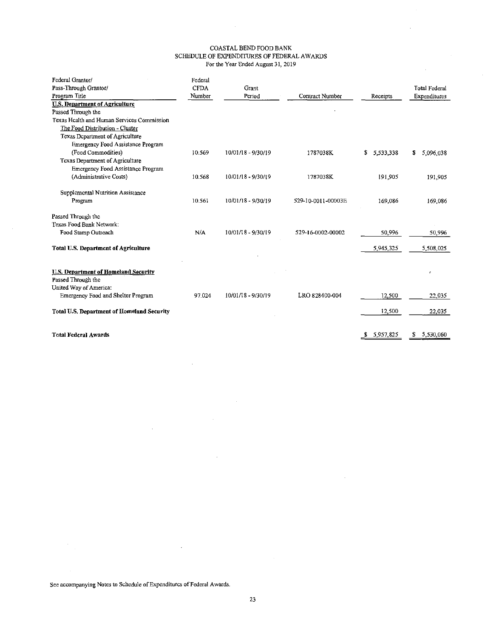#### COASTAL BEND FOOD BANK SCHEDULE OF EXPENDITURES OF FEDERAL AWARDS For the Year Ended August 31, 2019

 $\bar{z}$ 

| Federal Grantor/                                           | Federal     |                    |                        |                  |                      |
|------------------------------------------------------------|-------------|--------------------|------------------------|------------------|----------------------|
| Pass-Through Grantor/                                      | <b>CFDA</b> | Grant              |                        |                  | <b>Total Federal</b> |
| Program Title                                              | Number      | Pcriod             | <b>Contract Number</b> | Receipts         | Expenditures         |
| <b>U.S. Department of Agriculture</b>                      |             |                    |                        |                  |                      |
| Passed Through the                                         |             |                    |                        |                  |                      |
| Texas Health and Human Services Commission                 |             |                    |                        |                  |                      |
| The Food Distribution - Cluster                            |             |                    |                        |                  |                      |
| Texas Department of Agriculture                            |             |                    |                        |                  |                      |
| <b>Emergency Food Assistance Program</b>                   |             |                    |                        |                  |                      |
| (Food Commodities)                                         | 10.569      | 10/01/18 - 9/30/19 | 1787038K               | 5,533,338<br>\$. | 5,096,038<br>S.      |
| <b>Texas Department of Agriculture</b>                     |             |                    |                        |                  |                      |
| Emergency Food Assistance Program                          |             |                    |                        |                  |                      |
| (Administrative Costs)                                     | 10.568      | 10/01/18 - 9/30/19 | 1787038K               | 191,905          | 191,905              |
| Supplemental Nutrition Assistance                          |             |                    |                        |                  |                      |
| Program                                                    | 10.561      | 10/01/18 - 9/30/19 | 529-10-0011-00003E     | 169,086          | 169,086              |
| Passed Through the                                         |             |                    |                        |                  |                      |
| <b>Texas Food Bank Network:</b>                            |             |                    |                        |                  |                      |
| Food Stamp Outreach                                        | N/A         | 10/01/18 - 9/30/19 | 529-16-0002-00002      | 50,996           | 50,996               |
| <b>Total U.S. Department of Agriculture</b>                |             |                    |                        | 5,945,325        | 5,508,025            |
| U.S. Department of Homeland Security<br>Passed Through the |             |                    |                        |                  | Ł                    |
| United Way of America:                                     |             |                    |                        |                  |                      |
| Emergency Food and Shelter Program                         | 97.024      | 10/01/18 - 9/30/19 | LRO 828400-004         | 12,500           | 22,035               |
| <b>Total U.S. Department of Homeland Security</b>          |             |                    |                        | 12,500           | 22,035               |
| <b>Total Federal Awards</b>                                |             |                    |                        | \$5,957,825      | 5,530,060<br>S.      |

See accompanying Notes to Schedule of Expenditures of Federal Awards.

 $\bar{\bar{z}}$ 

 $\ddot{\phantom{a}}$ 

 $\mathcal{L}$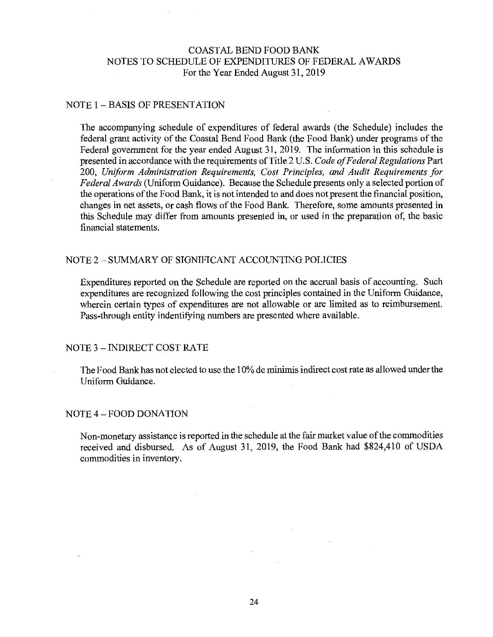# COASTAL BEND FOOD BANK NOTES TO SCHEDULE OF EXPENDITURES OF FEDERAL AWARDS For the Year Ended August 31, 2019

#### NOTE 1— BASIS OF PRESENTATION

The accompanying schedule of expenditures of federal awards (the Schedule) includes the federal grant activity of the Coastal Bend Food Bank (the Food Bank) under programs of the Federal government for the year ended August 31, 2019. The information in this schedule is presented in accordance with the requirements of Title 2 U.S. *Code ofFederal Regulations* Part 200, *Uniform Administration Requirements, Cost Principles, and Audit Requirements for Federal Awards* (Uniform Guidance). Because the Schedule presents only a selected portion of the operations of the Food Bank, it is not intended to and does not present the financial position, changes in net assets, or cash flows of the Food Bank. Therefore, some amounts presented in this Schedule may differ from amounts presented in, or used in the preparation of, the basic financial statements.

# NOTE 2— SUMMARY OF SIGNIFICANT ACCOUNTING POLICIES

Expenditures reported on the Schedule are reported on the accrual basis of accounting. Such expenditures are recognized following the cost principles contained in the Uniform Guidance, wherein certain types of expenditures are not allowable or are limited as to reimbursement. Pass-through entity indentifying numbers are presented where available.

# NOTE 3— INDIRECT COST RATE

The Food Bank has not elected to use the 10% de minimis indirect cost rate as allowed under the Uniform Guidance.

#### NOTE 4— FOOD DONATION

Non-monetary assistance is reported in the schedule at the fair market value of the commodities received and disbursed. As of August 31, 2019, the Food Bank had \$824,410 of USDA commodities in inventory.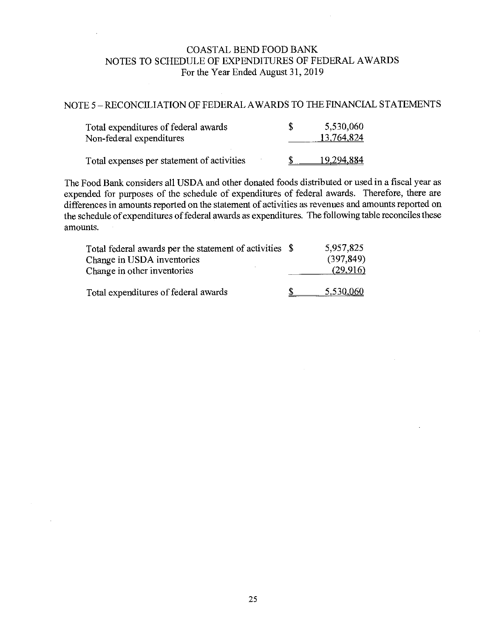# COASTAL BEND FOOD BANK NOTES TO SCHEDULE OF EXPENDITURES OF FEDERAL AWARDS For the Year Ended August 31, 2019

# NOTES —RECONCILIATION OF FEDERAL AWARDS TO THE FINANCIAL STATEMENTS

| Total expenditures of federal awards       | 5,530,060  |
|--------------------------------------------|------------|
| Non-federal expenditures                   | 13,764,824 |
|                                            |            |
| Total expenses per statement of activities | 19,294,884 |

The Food Bank considers all USDA and other donated foods distributed or used in a fiscal year as expended for purposes of the schedule of expenditures of federal awards. Therefore, there are differences in amounts reported on the statement of activities as revenues and amounts reported on the schedule of expenditures of federal awards as expenditures. The following table reconciles these amounts.

| Total federal awards per the statement of activities \$ | 5,957,825  |
|---------------------------------------------------------|------------|
| Change in USDA inventories                              | (397, 849) |
| Change in other inventories                             | (29,916)   |
| Total expenditures of federal awards                    | 5,530,060  |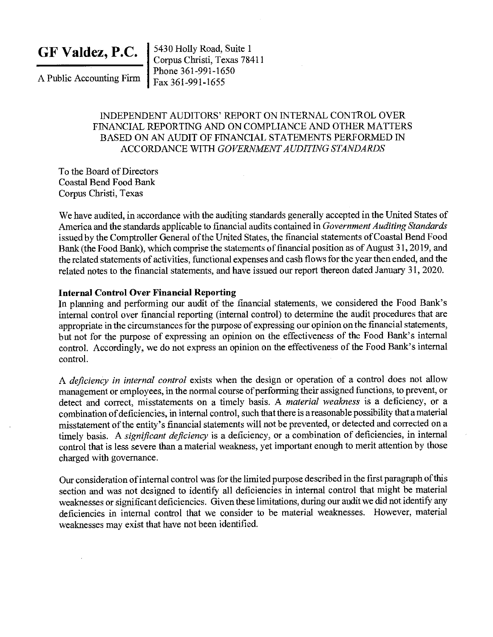GF Valdez, P.C. <sup>5430 Holly Road, Suite 1<br>Corpus Christi, Texas 78411</sup> A Public Accounting Firm  $\left[\begin{array}{cc} \text{rases} \\ \text{Fax } 361-991-1655 \end{array}\right]$ 

> INDEPENDENT AUDITORS' REPORT ON INTERNAL CONTROL OVER FINANCIAL REPORTING AND ON COMPLIANCE AND OTHER MATTERS BASED ON AN AUDIT OF FINANCIAL STATEMENTS PERFORMED IN *ACCORDANCE WITH GOVERNMENT A UDITING STANDARDS*

To the Board of Directors Coastal Bend Food Bank Corpus Christi, Texas

We have audited, in accordance with the auditing standards generally accepted in the United States of America and the standards applicable to financial audits contained in *Government Auditing Standards*  issued by the Comptroller General of the United States, the financial statements of Coastal Bend Food Bank (the Food Bank), which comprise the statements of financial position as of August 31, 2019, and the related statements of activities, functional expenses and cash flows for the year then ended, and the related notes to the financial statements, and have issued our report thereon dated January 31, 2020.

# **Internal Control Over Financial Reporting**

In planning and performing our audit of the financial statements, we considered the Food Bank's internal control over financial reporting (internal control) to determine the audit procedures that are appropriate in the circumstances for the purpose of expressing our opinion on the financial statements, but not for the purpose of expressing an opinion on the effectiveness of the Food Bank's internal control. Accordingly, we do not express an opinion on the effectiveness of the Food Bank's internal control.

A *deficiency in internal control* exists when the design or operation of a control does not allow management or employees, in the normal course of performing their assigned functions, to prevent, or detect and correct, misstatements on a timely basis. A *material weakness is* a deficiency, or a combination of deficiencies, in internal control, such that there is a reasonable possibility that a material misstatement of the entity's financial statements will not be prevented, or detected and corrected on a timely basis. A *significant deficiency is* a deficiency, or a combination of deficiencies, in internal control that is less severe than a material weakness, yet important enough to merit attention by those charged with governance.

Our consideration of internal control was for the limited purpose described in the first paragraph of this section and was not designed to identify all deficiencies in internal control that might be material weaknesses or significant deficiencies. Given these limitations, during our audit we did not identify any deficiencies in internal control that we consider to be material weaknesses. However, material weaknesses may exist that have not been identified.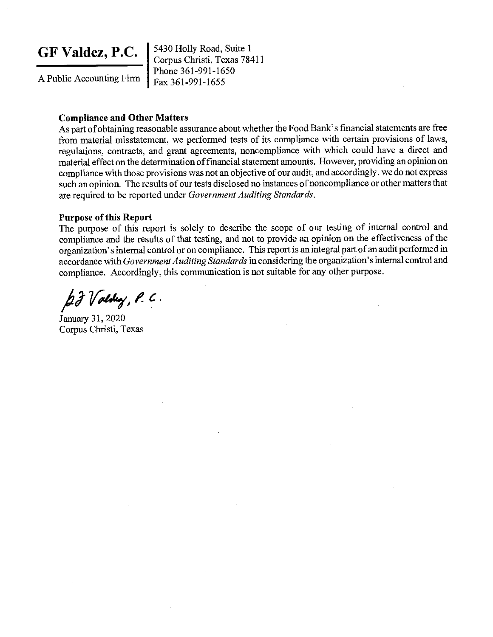A Public Accounting Firm  $\left| \begin{array}{c} 2 \text{meV} & 361-991-1655 \\ \text{Fav} & 361-991-1655 \end{array} \right|$ 

GF Valdez, P.C. <sup>5430 Holly Road, Suite 1<br>Corpus Christi, Texas 78411</sup> Phone 361-991-1650

# **Compliance and Other Matters**

As part of obtaining reasonable assurance about whether the Food Bank's financial statements are free from material misstatement, we performed tests of its compliance with certain provisions of laws, regulations, contracts, and grant agreements, noncompliance with which could have a direct and material effect on the determination of financial statement amounts. However, providing an opinion on compliance with those provisions was not an objective of our audit, and accordingly, we do not express such an opinion. The results of our tests disclosed no instances of noncompliance or other matters that are required to be reported under *Government Auditing Standards.* 

#### **Purpose of this Report**

The purpose of this report is solely to describe the scope of our testing of internal control and compliance and the results of that testing, and not to provide an opinion on the effectiveness of the organization's internal control or on compliance. This report is an integral part of an audit performed in accordance with *Government Auditing Standards* in considering the organization's internal control and compliance. Accordingly, this communication is not suitable for any other purpose.

pf Valdey, P. C.

January 31, 2020 Corpus Christi, Texas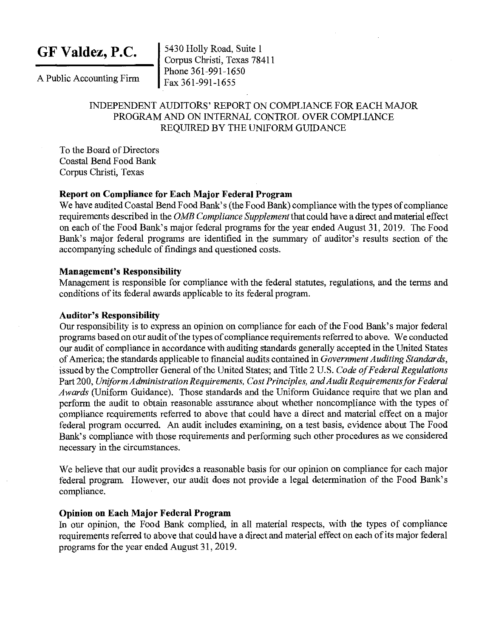GF Valdez, P.C.

A Public Accounting Firm

5430 Holly Road, Suite 1 Corpus Christi, Texas 78411 Phone 361-991-1650 Fax 361-991-1655

# INDEPENDENT AUDITORS' REPORT ON COMPLIANCE FOR EACH MAJOR PROGRAM AND ON INTERNAL CONTROL OVER COMPLIANCE REQUIRED BY THE UNIFORM GUIDANCE

To the Board of Directors Coastal Bend Food Bank Corpus Christi, Texas

#### **Report on Compliance for Each Major Federal Program**

We have audited Coastal Bend Food Bank's (the Food Bank) compliance with the types of compliance requirements described in the *OMB Compliance Supplement* that could have a direct and material effect on each of the Food Bank's major federal programs for the year ended August 31, 2019. The Food Bank's major federal programs are identified in the summary of auditor's results section of the accompanying schedule of findings and questioned costs.

# **Management's Responsibility**

Management is responsible for compliance with the federal statutes, regulations, and the terms and conditions of its federal awards applicable to its federal program.

#### **Auditor's Responsibility**

Our responsibility is to express an opinion on compliance for each of the Food Bank's major federal programs based on our audit of the types of compliance requirements referred to above. We conducted our audit of compliance in accordance with auditing standards generally accepted in the United States of America; the standards applicable to financial audits contained in *Government Auditing Standards,*  issued by the Comptroller General of the United States; and Title 2 U.S. *Code ofFederal Regulations*  Part 200, *Uniform Administration Requirements, Cost Principles, and Audit Requirements for Federal Awards* (Uniform Guidance). Those standards and the Uniform Guidance require that we plan and perform the audit to obtain reasonable assurance about whether noncompliance with the types of compliance requirements referred to above that could have a direct and material effect on a major federal program occurred. An audit includes examining, on a test basis, evidence about The Food Bank's compliance with those requirements and performing such other procedures as we considered necessary in the circumstances.

We believe that our audit provides a reasonable basis for our opinion on compliance for each major federal program. However, our audit does not provide a legal determination of the Food Bank's compliance.

#### **Opinion on Each Major Federal Program**

In our opinion, the Food Bank complied, in all material respects, with the types of compliance requirements referred to above that could have a direct and material effect on each of its major federal programs for the year ended August 31, 2019.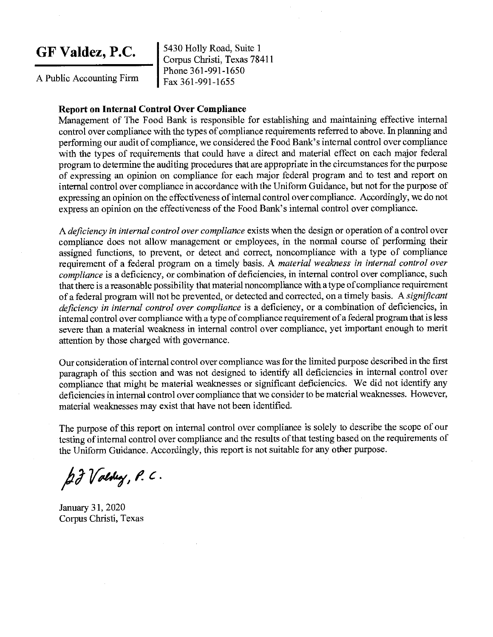# **GF Valdez, P.C.**

A Public Accounting Firm

5430 Holly Road, Suite 1 Corpus Christi, Texas 78411 Phone 361-991-1650 Fax 361-991-1655

#### **Report on Internal Control Over Compliance**

Management of The Food Bank is responsible for establishing and maintaining effective internal control over compliance with the types of compliance requirements referred to above. In planning and performing our audit of compliance, we considered the Food Bank's internal control over compliance with the types of requirements that could have a direct and material effect on each major federal program to determine the auditing procedures that are appropriate in the circumstances for the purpose of expressing an opinion on compliance for each major federal program and to test and report on internal control over compliance in accordance with the Uniform Guidance, but not for the purpose of expressing an opinion on the effectiveness of internal control over compliance. Accordingly, we do not express an opinion on the effectiveness of the Food Bank's internal control over compliance.

A *deficiency in internal control over compliance* exists when the design or operation of a control over compliance does not allow management or employees, in the normal course of performing their assigned functions, to prevent, or detect and correct, noncompliance with a type of compliance requirement of a federal program on a timely basis. A *material weakness in internal control over*  compliance is a deficiency, or combination of deficiencies, in internal control over compliance, such that there is a reasonable possibility that material noncompliance with a type of compliance requirement of a federal program will not be prevented, or detected and corrected, on a timely basis. A *significant*  deficiency in internal con*trol over compliance* is a deficiency, or a combination of deficiencies, in internal control over compliance with a type of compliance requirement of a federal program that is less severe than a material weakness in internal control over compliance, yet important enough to merit attention by those charged with governance.

Our consideration of internal control over compliance was for the limited purpose described in the first paragraph of this section and was not designed to identify all deficiencies in internal control over compliance that might be material weaknesses or significant deficiencies. We did not identify any deficiencies in internal control over compliance that we consider to be material weaknesses. However, material weaknesses may exist that have not been identified.

The purpose of this report on internal control over compliance is solely to describe the scope of our testing of internal control over compliance and the results of that testing based on the requirements of the Uniform Guidance. Accordingly, this report is not suitable for any other purpose.

**P** *~* **~-** to 4C.

January 31, 2020 Corpus Christi, Texas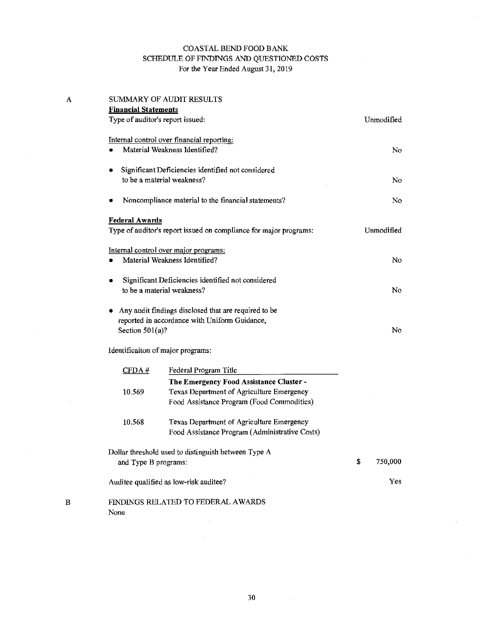# $\operatorname{COASTAL}$ BEND FOOD BANK SCHEDULE OF FINDINGS AND QUESTIONED COSTS For the Year Ended August 31, 2019

| A |                             | SUMMARY OF AUDIT RESULTS                                          |    |            |  |  |
|---|-----------------------------|-------------------------------------------------------------------|----|------------|--|--|
|   | <b>Financial Statements</b> |                                                                   |    |            |  |  |
|   |                             | Type of auditor's report issued:                                  |    | Unmodified |  |  |
|   |                             | Internal control over financial reporting:                        |    |            |  |  |
|   | ٠                           | Material Weakness Identified?                                     |    | No.        |  |  |
|   |                             | Significant Deficiencies identified not considered                |    |            |  |  |
|   |                             | to be a material weakness?                                        |    | No.        |  |  |
|   |                             | Noncompliance material to the financial statements?               |    | No         |  |  |
|   | <b>Federal Awards</b>       |                                                                   |    |            |  |  |
|   |                             | Type of auditor's report issued on compliance for major programs: |    | Unmodified |  |  |
|   |                             | Internal control over major programs:                             |    |            |  |  |
|   |                             | Material Weakness Identified?                                     |    |            |  |  |
|   | ۰                           | Significant Deficiencies identified not considered                |    |            |  |  |
|   | to be a material weakness?  |                                                                   | No |            |  |  |
|   |                             | Any audit findings disclosed that are required to be              |    |            |  |  |
|   |                             | reported in accordance with Uniform Guidance,                     |    |            |  |  |
|   | Section $501(a)$ ?          |                                                                   |    | No         |  |  |
|   |                             | Identificaiton of major programs:                                 |    |            |  |  |
|   | CFDA#                       | Federal Program Title                                             |    |            |  |  |
|   |                             | The Emergency Food Assistance Cluster -                           |    |            |  |  |
|   | 10.569                      | Texas Department of Agriculture Emergency                         |    |            |  |  |
|   |                             | Food Assistance Program (Food Commodities)                        |    |            |  |  |
|   | 10.568                      | Texas Department of Agriculture Emergency                         |    |            |  |  |
|   |                             | Food Assistance Program (Administrative Costs)                    |    |            |  |  |
|   |                             | Dollar threshold used to distinguish between Type A               |    |            |  |  |
|   |                             | and Type B programs:                                              |    |            |  |  |
|   |                             | Auditee qualified as low-risk auditee?                            |    | Yes        |  |  |
| В | None                        | FINDINGS RELATED TO FEDERAL AWARDS                                |    |            |  |  |

 $\bar{z}$ 

i,